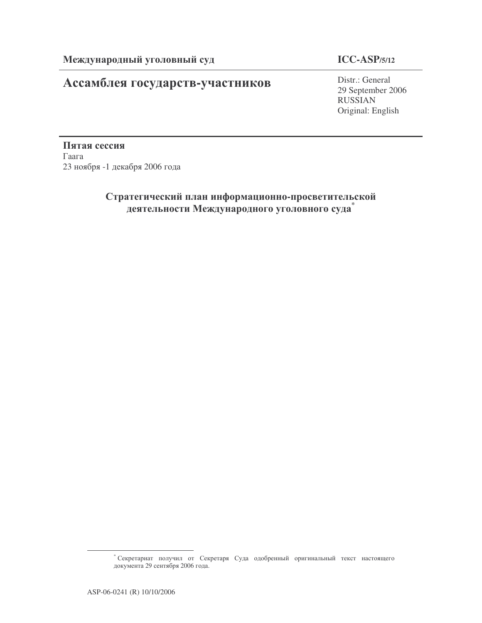# Ассамблея государств-участников

## **ICC-ASP/5/12**

Distr.: General 29 September 2006 RUSSIAN Original: English

Пятая сессия  $\Gamma$ аага 23 ноября -1 декабря 2006 года

## Стратегический план информационно-просветительской деятельности Международного уголовного суда<sup>\*</sup>

<sup>\*</sup> Секретариат получил от Секретаря Суда одобренный оригинальный текст настоящего документа 29 сентября 2006 года.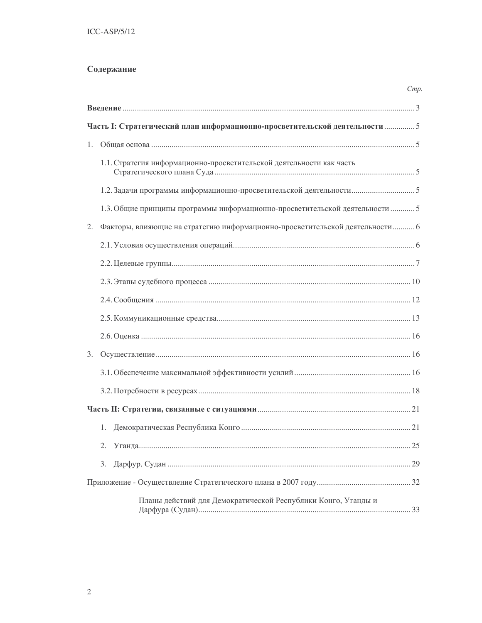## Содержание

|    |                                                                              | Cmp |
|----|------------------------------------------------------------------------------|-----|
|    |                                                                              |     |
|    | Часть І: Стратегический план информационно-просветительской деятельности  5  |     |
|    |                                                                              |     |
|    | 1.1. Стратегия информационно-просветительской деятельности как часть         |     |
|    |                                                                              |     |
|    | 1.3. Общие принципы программы информационно-просветительской деятельности 5  |     |
| 2. | Факторы, влияющие на стратегию информационно-просветительской деятельности 6 |     |
|    |                                                                              |     |
|    |                                                                              |     |
|    |                                                                              |     |
|    |                                                                              |     |
|    |                                                                              |     |
|    |                                                                              |     |
|    |                                                                              |     |
|    |                                                                              |     |
|    |                                                                              |     |
|    |                                                                              |     |
|    |                                                                              |     |
|    | 2.                                                                           |     |
|    | 3.                                                                           |     |
|    |                                                                              |     |
|    | Планы действий для Демократической Республики Конго, Уганды и                |     |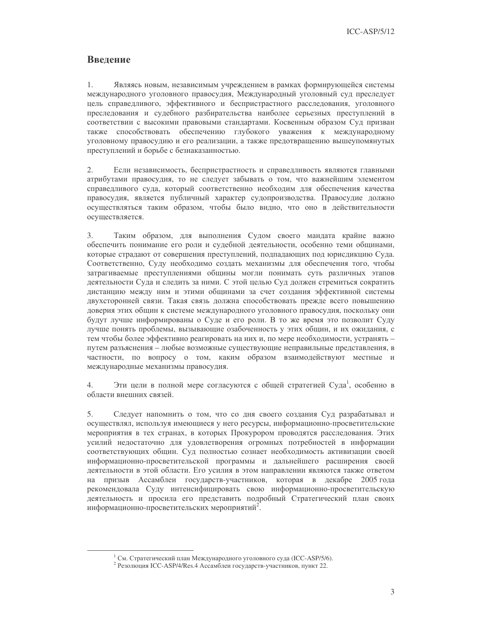$ICC-ASP/5/12$ 

## Введение

 $1<sub>1</sub>$ Являясь новым, независимым учреждением в рамках формирующейся системы международного уголовного правосудия, Международный уголовный суд преследует цель справедливого, эффективного и беспристрастного расследования, уголовного преследования и судебного разбирательства наиболее серьезных преступлений в соответствии с высокими правовыми стандартами. Косвенным образом Суд призван также способствовать обеспечению глубокого уважения к международному уголовному правосудию и его реализации, а также предотвращению вышеупомянутых преступлений и борьбе с безнаказанностью.

2. Если независимость, беспристрастность и справедливость являются главными атрибутами правосудия, то не следует забывать о том, что важнейшим элементом справедливого суда, который соответственно необходим для обеспечения качества правосудия, является публичный характер судопроизводства. Правосудие должно осуществляться таким образом, чтобы было видно, что оно в действительности осуществляется.

 $3.$ Таким образом, для выполнения Судом своего мандата крайне важно обеспечить понимание его роли и судебной деятельности, особенно теми общинами, которые страдают от совершения преступлений, подпадающих под юрисдикцию Суда. Соответственно, Суду необходимо создать механизмы для обеспечения того, чтобы затрагиваемые преступлениями общины могли понимать суть различных этапов деятельности Суда и следить за ними. С этой целью Суд должен стремиться сократить дистанцию между ним и этими общинами за счет создания эффективной системы двухсторонней связи. Такая связь должна способствовать прежде всего повышению доверия этих общин к системе международного уголовного правосудия, поскольку они будут лучше информированы о Суде и его роли. В то же время это позволит Суду лучше понять проблемы, вызывающие озабоченность у этих общин, и их ожидания, с тем чтобы более эффективно реагировать на них и, по мере необходимости, устранять путем разъяснения - любые возможные существующие неправильные представления, в частности, по вопросу о том, каким образом взаимодействуют местные и международные механизмы правосудия.

 $\overline{4}$ Эти цели в полной мере согласуются с общей стратегией Суда<sup>1</sup>, особенно в области внешних связей.

 $5<sub>1</sub>$ Следует напомнить о том, что со дня своего создания Суд разрабатывал и осуществлял, используя имеющиеся у него ресурсы, информационно-просветительские мероприятия в тех странах, в которых Прокурором проводятся расследования. Этих усилий недостаточно для удовлетворения огромных потребностей в информации соответствующих общин. Суд полностью сознает необходимость активизации своей информационно-просветительской программы и дальнейшего расширения своей деятельности в этой области. Его усилия в этом направлении являются также ответом на призыв Ассамблеи государств-участников, которая в декабре 2005 года рекомендовала Суду интенсифицировать свою информационно-просветительскую деятельность и просила его представить подробный Стратегический план своих информационно-просветительских мероприятий<sup>2</sup>.

<sup>&</sup>lt;sup>1</sup> См. Стратегический план Международного уголовного суда (ICC-ASP/5/6).

<sup>&</sup>lt;sup>2</sup> Резолюция ICC-ASP/4/Res.4 Ассамблеи государств-участников, пункт 22.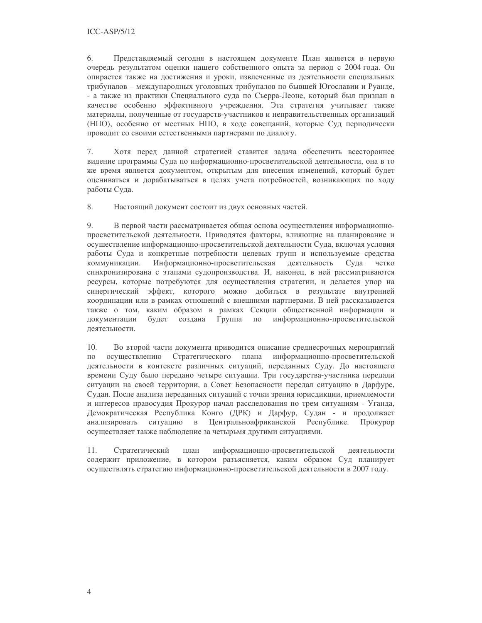6. Представляемый сегодня в настоящем документе План является в первую очередь результатом оценки нашего собственного опыта за период с 2004 года. Он опирается также на достижения и уроки, извлеченные из деятельности специальных трибуналов - международных уголовных трибуналов по бывшей Югославии и Руанде, - а также из практики Специального суда по Сьерра-Леоне, который был признан в качестве особенно эффективного учреждения. Эта стратегия учитывает также материалы, полученные от государств-участников и неправительственных организаций (НПО), особенно от местных НПО, в ходе совещаний, которые Суд периодически проводит со своими естественными партнерами по диалогу.

Хотя перед данной стратегией ставится задача обеспечить всестороннее 7. видение программы Суда по информационно-просветительской деятельности, она в то же время является документом, открытым для внесения изменений, который будет оцениваться и дорабатываться в целях учета потребностей, возникающих по ходу работы Суда.

8. Настоящий документ состоит из двух основных частей.

9. В первой части рассматривается общая основа осуществления информационнопросветительской деятельности. Приводятся факторы, влияющие на планирование и осуществление информационно-просветительской деятельности Суда, включая условия работы Суда и конкретные потребности целевых групп и используемые средства деятельность коммуникации. Информационно-просветительская Суда четко синхронизирована с этапами судопроизводства. И, наконец, в ней рассматриваются ресурсы, которые потребуются для осуществления стратегии, и делается упор на синергический эффект, которого можно добиться в результате внутренней координации или в рамках отношений с внешними партнерами. В ней рассказывается также о том, каким образом в рамках Секции общественной информации и документации будет создана Группа  $\Pi{\rm O}$ информационно-просветительской деятельности.

10. Во второй части документа приводится описание среднесрочных мероприятий  $\overline{10}$ осушествлению Стратегического плана информационно-просветительской деятельности в контексте различных ситуаций, переданных Суду. До настоящего времени Суду было передано четыре ситуации. Три государства-участника передали ситуации на своей территории, а Совет Безопасности передал ситуацию в Дарфуре, Судан. После анализа переданных ситуаций с точки зрения юрисдикции, приемлемости и интересов правосудия Прокурор начал расследования по трем ситуациям - Уганда, Демократическая Республика Конго (ДРК) и Дарфур, Судан - и продолжает анализировать ситуацию в Центральноафриканской Республике. Прокурор осуществляет также наблюдение за четырьмя другими ситуациями.

информационно-просветительской 11. Стратегический план деятельности содержит приложение, в котором разъясняется, каким образом Суд планирует осуществлять стратегию информационно-просветительской деятельности в 2007 году.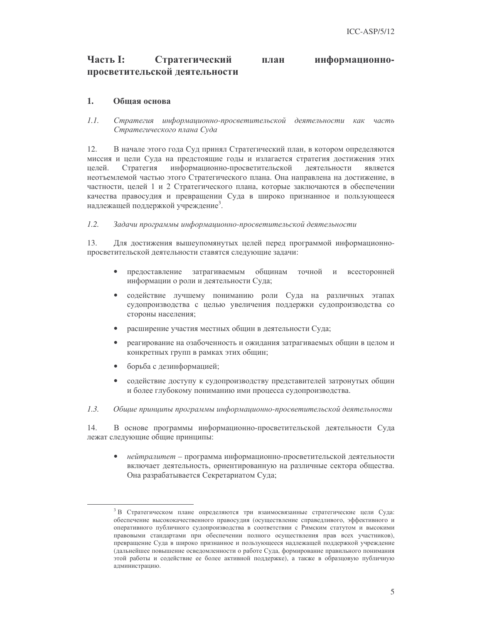#### Часть І: Стратегический информационноплан просветительской деятельности

#### $\mathbf{1}$ . Обшая основа

 $1.1.$ Стратегия информационно-просветительской деятельности как часть Стратегического плана Суда

12. В начале этого года Суд принял Стратегический план, в котором определяются миссия и цели Суда на предстоящие годы и излагается стратегия достижения этих целей. Стратегия информационно-просветительской деятельности является неотъемлемой частью этого Стратегического плана. Она направлена на достижение, в частности, целей 1 и 2 Стратегического плана, которые заключаются в обеспечении качества правосудия и превращении Суда в широко признанное и пользующееся надлежащей поддержкой учреждение<sup>3</sup>.

#### $1.2.$ Задачи программы информационно-просветительской деятельности

13. Для достижения вышеупомянутых целей перед программой информационнопросветительской деятельности ставятся следующие задачи:

- $\bullet$ предоставление затрагиваемым общинам точной всесторонней  $\overline{M}$ информации о роли и деятельности Суда;
- $\bullet$ содействие лучшему пониманию роли Суда на различных этапах судопроизводства с целью увеличения поддержки судопроизводства со стороны населения;
- расширение участия местных общин в деятельности Суда;
- реагирование на озабоченность и ожидания затрагиваемых общин в целом и конкретных групп в рамках этих общин;
- борьба с дезинформацией;
- $\bullet$ содействие доступу к судопроизводству представителей затронутых общин и более глубокому пониманию ими процесса судопроизводства.
- $1.3.$ Общие принципы программы информационно-просветительской деятельности

14. В основе программы информационно-просветительской деятельности Суда лежат следующие общие принципы:

 $\bullet$ нейтралитет - программа информационно-просветительской деятельности включает деятельность, ориентированную на различные сектора общества. Она разрабатывается Секретариатом Суда;

<sup>&</sup>lt;sup>3</sup> В Стратегическом плане определяются три взаимосвязанные стратегические цели Суда: обеспечение высококачественного правосудия (осуществление справедливого, эффективного и оперативного публичного судопроизводства в соответствии с Римским статутом и высокими правовыми стандартами при обеспечении полного осуществления прав всех участников), превращение Суда в широко признанное и пользующееся надлежащей поддержкой учреждение (дальнейшее повышение осведомленности о работе Суда, формирование правильного понимания этой работы и содействие ее более активной поддержке), а также в образцовую публичную администрацию.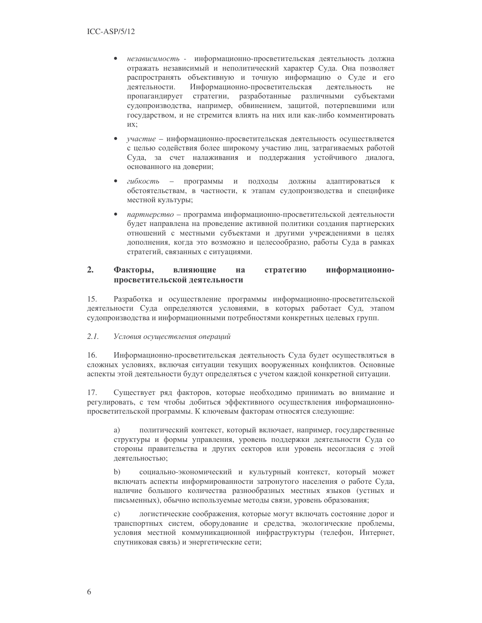- независимость информационно-просветительская деятельность должна  $\bullet$ отражать независимый и неполитический характер Суда. Она позволяет распространять объективную и точную информацию о Суде и его деятельности. Информационно-просветительская деятельность He пропагандирует стратегии, разработанные различными субъектами судопроизводства, например, обвинением, защитой, потерпевшими или государством, и не стремится влиять на них или как-либо комментировать их:
- участие информационно-просветительская деятельность осуществляется  $\bullet$ с целью содействия более широкому участию лиц, затрагиваемых работой Суда, за счет налаживания и поддержания устойчивого диалога, основанного на доверии;
- гибкость программы и подходы должны адаптироваться к  $\bullet$ обстоятельствам, в частности, к этапам судопроизводства и специфике местной культуры;
- $\bullet$ партнерство - программа информационно-просветительской деятельности будет направлена на проведение активной политики создания партнерских отношений с местными субъектами и другими учреждениями в целях дополнения, когда это возможно и целесообразно, работы Суда в рамках стратегий, связанных с ситуациями.

#### $2.$ Факторы. влияющие стратегию информационнона просветительской деятельности

 $15.$ Разработка и осуществление программы информационно-просветительской деятельности Суда определяются условиями, в которых работает Суд, этапом судопроизводства и информационными потребностями конкретных целевых групп.

#### $2.1.$ Условия осуществления операций

 $16.$ Информационно-просветительская деятельность Суда будет осуществляться в сложных условиях, включая ситуации текущих вооруженных конфликтов. Основные аспекты этой деятельности будут определяться с учетом каждой конкретной ситуации.

17. Существует ряд факторов, которые необходимо принимать во внимание и регулировать, с тем чтобы добиться эффективного осуществления информационнопросветительской программы. К ключевым факторам относятся следующие:

a) политический контекст, который включает, например, государственные структуры и формы управления, уровень поддержки деятельности Суда со стороны правительства и других секторов или уровень несогласия с этой деятельностью;

 $b)$ социально-экономический и культурный контекст, который может включать аспекты информированности затронутого населения о работе Суда, наличие большого количества разнообразных местных языков (устных и письменных), обычно используемые методы связи, уровень образования;

логистические соображения, которые могут включать состояние дорог и  $\mathbf{c})$ транспортных систем, оборудование и средства, экологические проблемы, условия местной коммуникационной инфраструктуры (телефон, Интернет, спутниковая связь) и энергетические сети;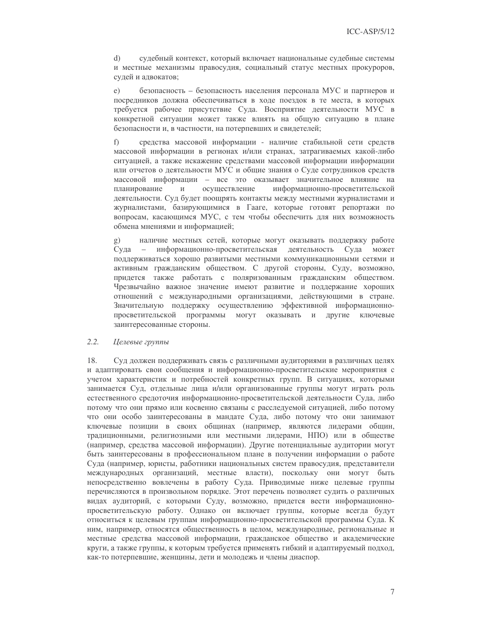$\mathbf{d}$ судебный контекст, который включает национальные судебные системы и местные механизмы правосудия, социальный статус местных прокуроров, судей и адвокатов;

 $e)$ безопасность - безопасность населения персонала МУС и партнеров и посредников должна обеспечиваться в ходе поездок в те места, в которых требуется рабочее присутствие Суда. Восприятие деятельности МУС в конкретной ситуации может также влиять на общую ситуацию в плане безопасности и, в частности, на потерпевших и свидетелей;

средства массовой информации - наличие стабильной сети средств  $f$ ) массовой информации в регионах и/или странах, затрагиваемых какой-либо ситуацией, а также искажение средствами массовой информации информации или отчетов о деятельности МУС и общие знания о Суде сотрудников средств массовой информации - все это оказывает значительное влияние на планирование  $\overline{M}$ осуществление информационно-просветительской деятельности. Суд будет поощрять контакты между местными журналистами и журналистами, базирующимися в Гааге, которые готовят репортажи по вопросам, касающимся МУС, с тем чтобы обеспечить для них возможность обмена мнениями и информацией;

наличие местных сетей, которые могут оказывать поддержку работе  $\mathbf{g})$ информационно-просветительская деятельность  $Cv<sub>II</sub>$ a Суда может поддерживаться хорошо развитыми местными коммуникационными сетями и активным гражданским обществом. С другой стороны, Суду, возможно, придется также работать с поляризованным гражданским обществом. Чрезвычайно важное значение имеют развитие и поддержание хороших отношений с международными организациями, действующими в стране. Значительную поддержку осуществлению эффективной информационнопросветительской программы могут оказывать и другие ключевые заинтересованные стороны.

#### $2.2.$ Целевые группы

18. Суд должен поддерживать связь с различными аудиториями в различных целях и адаптировать свои сообщения и информационно-просветительские мероприятия с учетом характеристик и потребностей конкретных групп. В ситуациях, которыми занимается Суд, отдельные лица и/или организованные группы могут играть роль естественного средоточия информационно-просветительской деятельности Суда, либо потому что они прямо или косвенно связаны с расследуемой ситуацией, либо потому что они особо заинтересованы в мандате Суда, либо потому что они занимают ключевые позиции в своих общинах (например, являются лидерами общин, традиционными, религиозными или местными лидерами, НПО) или в обществе (например, средства массовой информации). Другие потенциальные аудитории могут быть заинтересованы в профессиональном плане в получении информации о работе Суда (например, юристы, работники национальных систем правосудия, представители международных организаций, местные власти), поскольку они могут быть непосредственно вовлечены в работу Суда. Приводимые ниже целевые группы перечисляются в произвольном порядке. Этот перечень позволяет судить о различных видах аудиторий, с которыми Суду, возможно, придется вести информационнопросветительскую работу. Однако он включает группы, которые всегда будут относиться к целевым группам информационно-просветительской программы Суда. К ним, например, относятся общественность в целом, международные, региональные и местные средства массовой информации, гражданское общество и академические круги, а также группы, к которым требуется применять гибкий и адаптируемый подход, как-то потерпевшие, женщины, дети и молодежь и члены диаспор.

 $\overline{7}$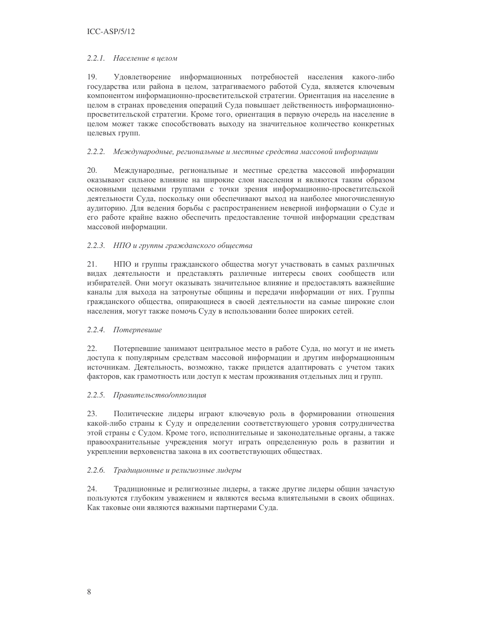### 2.2.1. Население в целом

19. Удовлетворение информационных потребностей населения какого-либо государства или района в целом, затрагиваемого работой Суда, является ключевым компонентом информационно-просветительской стратегии. Ориентация на население в целом в странах проведения операций Суда повышает действенность информационнопросветительской стратегии. Кроме того, ориентация в первую очередь на население в целом может также способствовать выходу на значительное количество конкретных целевых групп.

### 2.2.2. Международные, региональные и местные средства массовой информации

20. Международные, региональные и местные средства массовой информации оказывают сильное влияние на широкие слои населения и являются таким образом основными целевыми группами с точки зрения информационно-просветительской деятельности Суда, поскольку они обеспечивают выход на наиболее многочисленную аудиторию. Для ведения борьбы с распространением неверной информации о Суде и его работе крайне важно обеспечить предоставление точной информации средствам массовой информации.

### 2.2.3. НПО и группы гражданского обшества

21. НПО и группы гражданского общества могут участвовать в самых различных видах деятельности и представлять различные интересы своих сообществ или избирателей. Они могут оказывать значительное влияние и предоставлять важнейшие каналы для выхода на затронутые общины и передачи информации от них. Группы гражданского общества, опирающиеся в своей деятельности на самые широкие слои населения, могут также помочь Суду в использовании более широких сетей.

### 2.2.4. Потерпевшие

 $22.$ Потерпевшие занимают центральное место в работе Суда, но могут и не иметь доступа к популярным средствам массовой информации и другим информационным источникам. Деятельность, возможно, также придется адаптировать с учетом таких факторов, как грамотность или доступ к местам проживания отдельных лиц и групп.

### 2.2.5. Правительство/оппозиция

23. Политические лидеры играют ключевую роль в формировании отношения какой-либо страны к Суду и определении соответствующего уровня сотрудничества этой страны с Судом. Кроме того, исполнительные и законодательные органы, а также правоохранительные учреждения могут играть определенную роль в развитии и укреплении верховенства закона в их соответствующих обществах.

### 2.2.6. Традиционные и религиозные лидеры

24. Традиционные и религиозные лидеры, а также другие лидеры общин зачастую пользуются глубоким уважением и являются весьма влиятельными в своих общинах. Как таковые они являются важными партнерами Суда.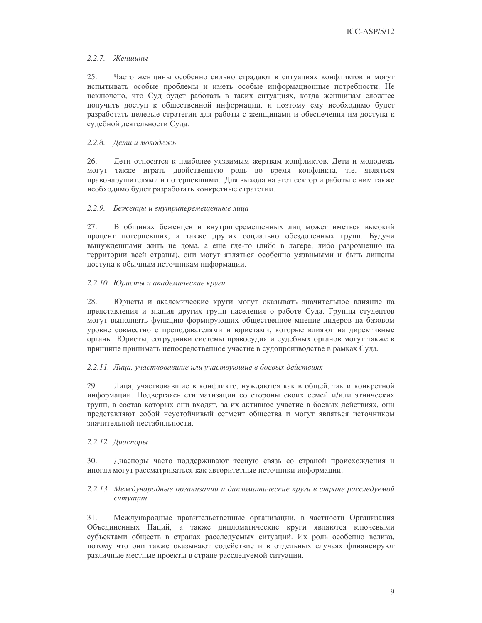## 2.2.7. Женщины

25. Часто женщины особенно сильно страдают в ситуациях конфликтов и могут испытывать особые проблемы и иметь особые информационные потребности. Не исключено, что Суд будет работать в таких ситуациях, когда женщинам сложнее получить доступ к общественной информации, и поэтому ему необходимо будет разработать целевые стратегии для работы с женщинами и обеспечения им доступа к судебной деятельности Суда.

### 2.2.8. Дети и молодежь

26. Дети относятся к наиболее уязвимым жертвам конфликтов. Дети и молодежь могут также играть двойственную роль во время конфликта, т.е. являться правонарушителями и потерпевшими. Для выхода на этот сектор и работы с ним также необходимо будет разработать конкретные стратегии.

### 2.2.9. Беженцы и внутриперемещенные лица

27. В общинах беженцев и внутриперемещенных лиц может иметься высокий процент потерпевших, а также других социально обездоленных групп. Будучи вынужденными жить не дома, а еще где-то (либо в лагере, либо разрозненно на территории всей страны), они могут являться особенно уязвимыми и быть лишены доступа к обычным источникам информации.

## 2.2.10. Юристы и академические круги

Юристы и академические круги могут оказывать значительное влияние на 28. представления и знания других групп населения о работе Суда. Группы студентов могут выполнять функцию формирующих общественное мнение лидеров на базовом уровне совместно с преподавателями и юристами, которые влияют на директивные органы. Юристы, сотрудники системы правосудия и судебных органов могут также в принципе принимать непосредственное участие в судопроизводстве в рамках Суда.

### 2.2.11. Лица, участвовавшие или участвующие в боевых действиях

29. Лица, участвовавшие в конфликте, нуждаются как в общей, так и конкретной информации. Подвергаясь стигматизации со стороны своих семей и/или этнических групп, в состав которых они входят, за их активное участие в боевых действиях, они представляют собой неустойчивый сегмент общества и могут являться источником значительной нестабильности.

### 2.2.12. Диаспоры

 $30<sup>2</sup>$ Диаспоры часто поддерживают тесную связь со страной происхождения и иногда могут рассматриваться как авторитетные источники информации.

## 2.2.13. Международные организации и дипломатические круги в стране расследуемой cumyauuu

 $31.$ Международные правительственные организации, в частности Организация Объединенных Наций, а также дипломатические круги являются ключевыми субъектами обществ в странах расследуемых ситуаций. Их роль особенно велика, потому что они также оказывают содействие и в отдельных случаях финансируют различные местные проекты в стране расследуемой ситуации.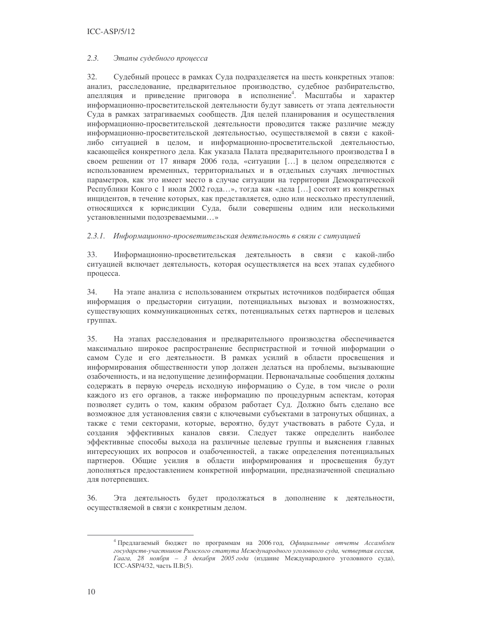### $ICC-ASP/5/12$

#### $2.3.$ Этапы судебного процесса

 $32.$ Судебный процесс в рамках Суда подразделяется на шесть конкретных этапов: анализ, расследование, предварительное производство, судебное разбирательство, апелляция и приведение приговора в исполнение<sup>4</sup>. Масштабы и характер информационно-просветительской деятельности будут зависеть от этапа деятельности Суда в рамках затрагиваемых сообществ. Для целей планирования и осуществления информационно-просветительской деятельности проводится также различие между информационно-просветительской деятельностью, осуществляемой в связи с какойлибо ситуацией в целом, и информационно-просветительской деятельностью, касающейся конкретного дела. Как указала Палата предварительного производства I в своем решении от 17 января 2006 года, «ситуации [...] в целом определяются с использованием временных, территориальных и в отдельных случаях личностных параметров, как это имеет место в случае ситуации на территории Демократической Республики Конго с 1 июля 2002 года...», тогда как «дела [...] состоят из конкретных инцидентов, в течение которых, как представляется, одно или несколько преступлений, относящихся к юрисдикции Суда, были совершены одним или несколькими установленными подозреваемыми...»

### 2.3.1. Информационно-просветительская деятельность в связи с ситуацией

33. Информационно-просветительская деятельность в связи с какой-либо ситуацией включает деятельность, которая осуществляется на всех этапах судебного процесса.

34. На этапе анализа с использованием открытых источников подбирается общая информация о предыстории ситуации, потенциальных вызовах и возможностях, существующих коммуникационных сетях, потенциальных сетях партнеров и целевых группах.

35. На этапах расследования и предварительного производства обеспечивается максимально широкое распространение беспристрастной и точной информации о самом Суде и его деятельности. В рамках усилий в области просвещения и информирования общественности упор должен делаться на проблемы, вызывающие озабоченность, и на недопущение дезинформации. Первоначальные сообщения должны содержать в первую очередь исходную информацию о Суде, в том числе о роли каждого из его органов, а также информацию по процедурным аспектам, которая позволяет судить о том, каким образом работает Суд. Должно быть сделано все возможное для установления связи с ключевыми субъектами в затронутых общинах, а также с теми секторами, которые, вероятно, будут участвовать в работе Суда, и создания эффективных каналов связи. Следует также определить наиболее эффективные способы выхода на различные целевые группы и выяснения главных интересующих их вопросов и озабоченностей, а также определения потенциальных партнеров. Общие усилия в области информирования и просвещения будут дополняться предоставлением конкретной информации, предназначенной специально для потерпевших.

36. Эта деятельность будет продолжаться в дополнение к деятельности, осуществляемой в связи с конкретным делом.

<sup>&</sup>lt;sup>4</sup> Предлагаемый бюджет по программам на 2006 год, Официальные отчеты Ассамблеи государств-участников Римского статута Международного уголовного суда, четвертая сессия, Гаага, 28 ноября - 3 декабря 2005 года (издание Международного уголовного суда), ICC-ASP/4/32, часть II.B(5).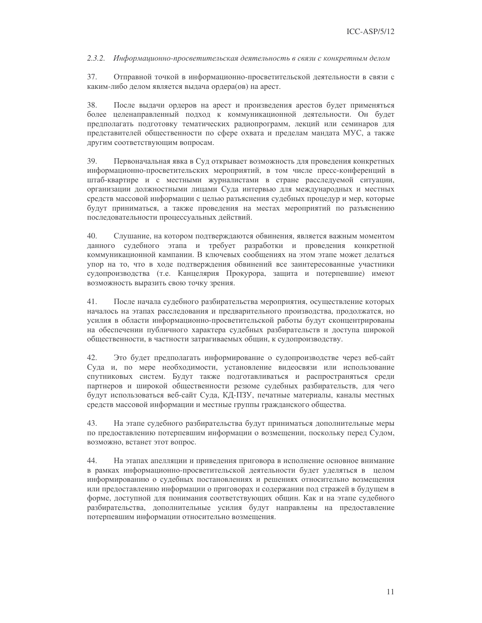### 2.3.2. Информационно-просветительская деятельность в связи с конкретным делом

37. Отправной точкой в информационно-просветительской деятельности в связи с каким-либо делом является выдача ордера(ов) на арест.

38. После выдачи ордеров на арест и произведения арестов будет применяться более целенаправленный подход к коммуникационной деятельности. Он будет предполагать подготовку тематических радиопрограмм, лекций или семинаров для представителей общественности по сфере охвата и пределам мандата МУС, а также другим соответствующим вопросам.

39. Первоначальная явка в Суд открывает возможность для проведения конкретных информационно-просветительских мероприятий, в том числе пресс-конференций в штаб-квартире и с местными журналистами в стране расследуемой ситуации, организации должностными лицами Суда интервью для международных и местных средств массовой информации с целью разъяснения судебных процедур и мер, которые будут приниматься, а также проведения на местах мероприятий по разъяснению последовательности процессуальных действий.

40. Слушание, на котором подтверждаются обвинения, является важным моментом данного судебного этапа и требует разработки и проведения конкретной коммуникационной кампании. В ключевых сообщениях на этом этапе может делаться упор на то, что в ходе подтверждения обвинений все заинтересованные участники судопроизводства (т.е. Канцелярия Прокурора, защита и потерпевшие) имеют возможность выразить свою точку зрения.

41. После начала судебного разбирательства мероприятия, осуществление которых началось на этапах расследования и предварительного производства, продолжатся, но усилия в области информационно-просветительской работы будут сконцентрированы на обеспечении публичного характера судебных разбирательств и доступа широкой общественности, в частности затрагиваемых общин, к судопроизводству.

 $42.$ Это будет предполагать информирование о судопроизводстве через веб-сайт Суда и, по мере необходимости, установление видеосвязи или использование спутниковых систем. Будут также подготавливаться и распространяться среди партнеров и широкой общественности резюме судебных разбирательств, для чего будут использоваться веб-сайт Суда, КД-ПЗУ, печатные материалы, каналы местных средств массовой информации и местные группы гражданского общества.

43. На этапе судебного разбирательства будут приниматься дополнительные меры по предоставлению потерпевшим информации о возмещении, поскольку перед Судом, возможно, встанет этот вопрос.

44. На этапах апелляции и приведения приговора в исполнение основное внимание в рамках информационно-просветительской деятельности будет уделяться в целом информированию о судебных постановлениях и решениях относительно возмещения или предоставлению информации о приговорах и содержании под стражей в будущем в форме, доступной для понимания соответствующих общин. Как и на этапе судебного разбирательства, дополнительные усилия будут направлены на предоставление потерпевшим информации относительно возмещения.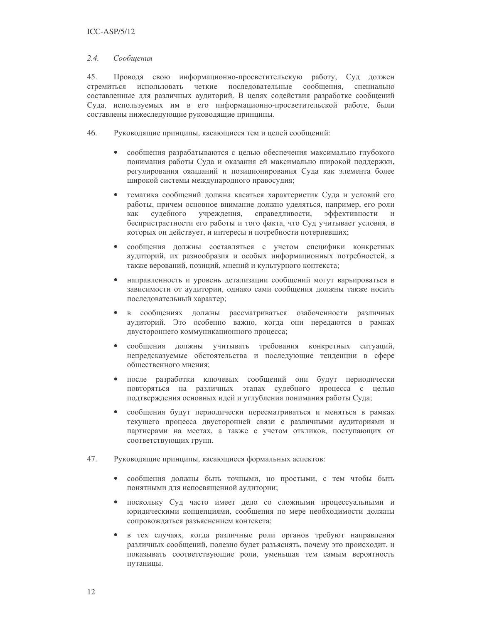#### $2.4.$ Сообщения

 $45.$ Проводя свою информационно-просветительскую работу, Суд должен стремиться использовать четкие последовательные сообщения, специально составленные для различных аудиторий. В целях содействия разработке сообщений Суда, используемых им в его информационно-просветительской работе, были составлены нижеследующие руководящие принципы.

46. Руководящие принципы, касающиеся тем и целей сообщений:

- сообщения разрабатываются с целью обеспечения максимально глубокого  $\bullet$ понимания работы Суда и оказания ей максимально широкой поддержки, регулирования ожиданий и позиционирования Суда как элемента более широкой системы международного правосудия;
- $\bullet$ тематика сообщений должна касаться характеристик Суда и условий его работы, причем основное внимание должно уделяться, например, его роли учреждения, справедливости, эффективности как сулебного  $\overline{M}$ беспристрастности его работы и того факта, что Суд учитывает условия, в которых он действует, и интересы и потребности потерпевших;
- сообщения должны составляться с учетом специфики конкретных  $\bullet$ аудиторий, их разнообразия и особых информационных потребностей, а также верований, позиций, мнений и культурного контекста;
- $\bullet$ направленность и уровень детализации сообщений могут варьироваться в зависимости от аудитории, однако сами сообщения должны также носить последовательный характер;
- в сообщениях должны рассматриваться озабоченности различных  $\bullet$ аудиторий. Это особенно важно, когда они передаются в рамках двустороннего коммуникационного процесса;
- сообщения должны учитывать требования конкретных ситуаций,  $\bullet$ непредсказуемые обстоятельства и последующие тенденции в сфере общественного мнения:
- после разработки ключевых сообщений они будут периодически  $\bullet$ повторяться на различных этапах судебного процесса с целью подтверждения основных идей и углубления понимания работы Суда;
- сообщения будут периодически пересматриваться и меняться в рамках  $\bullet$ текущего процесса двусторонней связи с различными аудиториями и партнерами на местах, а также с учетом откликов, поступающих от соответствующих групп.
- 47. Руководящие принципы, касающиеся формальных аспектов:
	- $\bullet$ сообщения должны быть точными, но простыми, с тем чтобы быть понятными для непосвященной аудитории;
	- поскольку Суд часто имеет дело со сложными процессуальными и  $\bullet$ юридическими концепциями, сообщения по мере необходимости должны сопровождаться разъяснением контекста;
	- в тех случаях, когда различные роли органов требуют направления  $\bullet$ различных сообщений, полезно будет разъяснять, почему это происходит, и показывать соответствующие роли, уменьшая тем самым вероятность путаницы.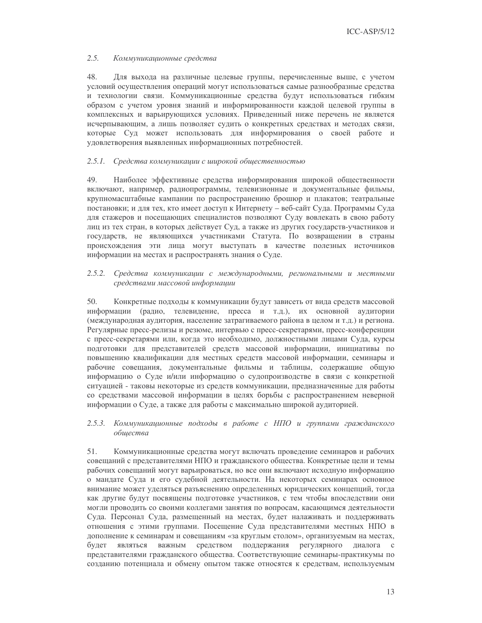#### $2.5.$ Коммуникационные средства

48. Для выхода на различные целевые группы, перечисленные выше, с учетом условий осуществления операций могут использоваться самые разнообразные средства и технологии связи. Коммуникационные средства будут использоваться гибким образом с учетом уровня знаний и информированности каждой целевой группы в комплексных и варьирующихся условиях. Приведенный ниже перечень не является исчерпывающим, а лишь позволяет судить о конкретных средствах и методах связи, которые Суд может использовать для информирования о своей работе и удовлетворения выявленных информационных потребностей.

## 2.5.1. Средства коммуникации с широкой общественностью

49 Наиболее эффективные средства информирования широкой общественности включают, например, радиопрограммы, телевизионные и документальные фильмы, крупномасштабные кампании по распространению брошюр и плакатов; театральные постановки; и для тех, кто имеет доступ к Интернету - веб-сайт Суда. Программы Суда для стажеров и посещающих специалистов позволяют Суду вовлекать в свою работу лиц из тех стран, в которых действует Суд, а также из других государств-участников и государств, не являющихся участниками Статута. По возвращении в страны происхождения эти лица могут выступать в качестве полезных источников информации на местах и распространять знания о Суде.

### 2.5.2. Средства коммуникации с международными, региональными и местными средствами массовой информации

50. Конкретные подходы к коммуникации будут зависеть от вида средств массовой информации (радио, телевидение, пресса и т.д.), их основной аудитории (международная аудитория, население затрагиваемого района в целом и т.д.) и региона. Регулярные пресс-релизы и резюме, интервью с пресс-секретарями, пресс-конференции с пресс-секретарями или, когда это необходимо, должностными лицами Суда, курсы подготовки для представителей средств массовой информации, инициативы по повышению квалификации для местных средств массовой информации, семинары и рабочие совещания, документальные фильмы и таблицы, содержащие общую информацию о Суде и/или информацию о судопроизводстве в связи с конкретной ситуацией - таковы некоторые из средств коммуникации, предназначенные для работы со средствами массовой информации в целях борьбы с распространением неверной информации о Суде, а также для работы с максимально широкой аудиторией.

### 2.5.3. Коммуникационные подходы в работе с НПО и группами гражданского общества

51. Коммуникационные средства могут включать проведение семинаров и рабочих совещаний с представителями НПО и гражданского общества. Конкретные цели и темы рабочих совещаний могут варьироваться, но все они включают исходную информацию о мандате Суда и его судебной деятельности. На некоторых семинарах основное внимание может уделяться разъяснению определенных юридических концепций, тогда как другие будут посвящены подготовке участников, с тем чтобы впоследствии они могли проводить со своими коллегами занятия по вопросам, касающимся деятельности Суда. Персонал Суда, размещенный на местах, будет налаживать и поддерживать отношения с этими группами. Посещение Суда представителями местных НПО в дополнение к семинарам и совещаниям «за круглым столом», организуемым на местах, будет являться важным средством поддержания регулярного диалога с представителями гражданского общества. Соответствующие семинары-практикумы по созданию потенциала и обмену опытом также относятся к средствам, используемым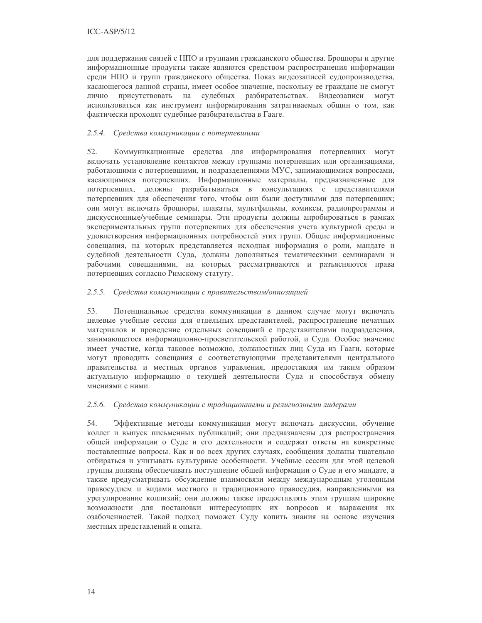для поддержания связей с НПО и группами гражданского общества. Брошюры и другие информационные продукты также являются средством распространения информации среди НПО и групп гражданского общества. Показ видеозаписей судопроизводства, касающегося данной страны, имеет особое значение, поскольку ее граждане не смогут присутствовать на судебных разбирательствах. Видеозаписи лично **MOTVT** использоваться как инструмент информирования затрагиваемых общин о том, как фактически проходят судебные разбирательства в Гааге.

### 2.5.4. Средства коммуникации с потерпевшими

52. Коммуникационные средства для информирования потерпевших могут включать установление контактов между группами потерпевших или организациями, работающими с потерпевшими, и подразделениями МУС, занимающимися вопросами, касающимися потерпевших. Информационные материалы, предназначенные для потерпевших, должны разрабатываться в консультациях с представителями потерпевших для обеспечения того, чтобы они были доступными для потерпевших; они могут включать брошюры, плакаты, мультфильмы, комиксы, радиопрограммы и дискуссионные/учебные семинары. Эти продукты должны апробироваться в рамках экспериментальных групп потерпевших для обеспечения учета культурной среды и удовлетворения информационных потребностей этих групп. Общие информационные совещания, на которых представляется исходная информация о роли, мандате и судебной деятельности Суда, должны дополняться тематическими семинарами и рабочими совещаниями, на которых рассматриваются и разъясняются права потерпевших согласно Римскому статуту.

### 2.5.5. Средства коммуникации с правительством/оппозицией

53. Потенциальные средства коммуникации в данном случае могут включать целевые учебные сессии для отдельных представителей, распространение печатных материалов и проведение отдельных совещаний с представителями подразделения, занимающегося информационно-просветительской работой, и Суда. Особое значение имеет участие, когда таковое возможно, должностных лиц Суда из Гааги, которые могут проводить совещания с соответствующими представителями центрального правительства и местных органов управления, предоставляя им таким образом актуальную информацию о текущей деятельности Суда и способствуя обмену мнениями с ними.

### 2.5.6. Средства коммуникации с традиционными и религиозными лидерами

54. Эффективные методы коммуникации могут включать дискуссии, обучение коллег и выпуск письменных публикаций; они предназначены для распространения общей информации о Суде и его деятельности и содержат ответы на конкретные поставленные вопросы. Как и во всех других случаях, сообщения должны тщательно отбираться и учитывать культурные особенности. Учебные сессии для этой целевой группы должны обеспечивать поступление общей информации о Суде и его мандате, а также предусматривать обсуждение взаимосвязи между международным уголовным правосудием и видами местного и традиционного правосудия, направленными на урегулирование коллизий; они должны также предоставлять этим группам широкие возможности для постановки интересующих их вопросов и выражения их озабоченностей. Такой подход поможет Суду копить знания на основе изучения местных представлений и опыта.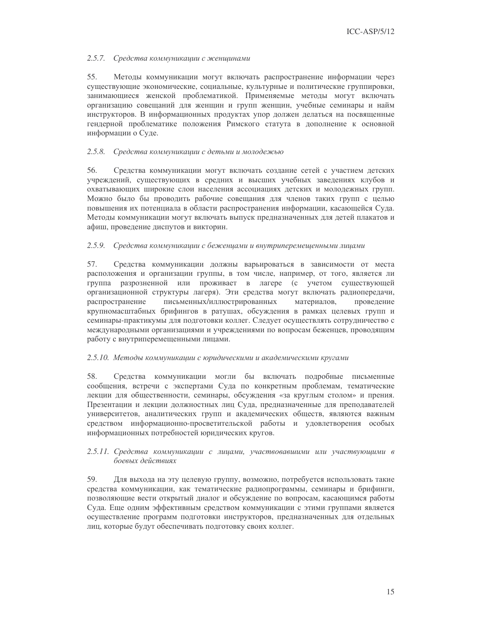### 2.5.7. Средства коммуникации с женщинами

55. Методы коммуникации могут включать распространение информации через существующие экономические, социальные, культурные и политические группировки, занимающиеся женской проблематикой. Применяемые методы могут включать организацию совещаний для женщин и групп женщин, учебные семинары и найм инструкторов. В информационных продуктах упор должен делаться на посвященные гендерной проблематике положения Римского статута в дополнение к основной информации о Суде.

### 2.5.8. Средства коммуникации с детьми и молодежью

56. Средства коммуникации могут включать создание сетей с участием детских учреждений, существующих в средних и высших учебных заведениях клубов и охватывающих широкие слои населения ассоциациях детских и молодежных групп. Можно было бы проводить рабочие совещания для членов таких групп с целью повышения их потенциала в области распространения информации, касающейся Суда. Методы коммуникации могут включать выпуск предназначенных для детей плакатов и афиш, проведение диспутов и викторин.

## 2.5.9. Средства коммуникации с бежениами и внутриперемешенными лицами

57. Средства коммуникации должны варьироваться в зависимости от места расположения и организации группы, в том числе, например, от того, является ли группа разрозненной или проживает в лагере (с учетом существующей организационной структуры лагеря). Эти средства могут включать радиопередачи, распространение письменных/иллюстрированных материалов, проведение крупномасштабных брифингов в ратушах, обсуждения в рамках целевых групп и семинары-практикумы для подготовки коллег. Следует осуществлять сотрудничество с международными организациями и учреждениями по вопросам беженцев, проводящим работу с внутриперемещенными лицами.

### 2.5.10. Методы коммуникации с юридическими и академическими кругами

Средства коммуникации могли бы включать подробные письменные 58. сообщения, встречи с экспертами Суда по конкретным проблемам, тематические лекции для общественности, семинары, обсуждения «за круглым столом» и прения. Презентации и лекции должностных лиц Суда, предназначенные для преподавателей университетов, аналитических групп и академических обществ, являются важным средством информационно-просветительской работы и удовлетворения особых информационных потребностей юридических кругов.

### 2.5.11. Средства коммуникации с лицами, участвовавшими или участвующими в боевых действиях

59. Для выхода на эту целевую группу, возможно, потребуется использовать такие средства коммуникации, как тематические радиопрограммы, семинары и брифинги, позволяющие вести открытый диалог и обсуждение по вопросам, касающимся работы Суда. Еще одним эффективным средством коммуникации с этими группами является осуществление программ подготовки инструкторов, предназначенных для отдельных лиц, которые будут обеспечивать подготовку своих коллег.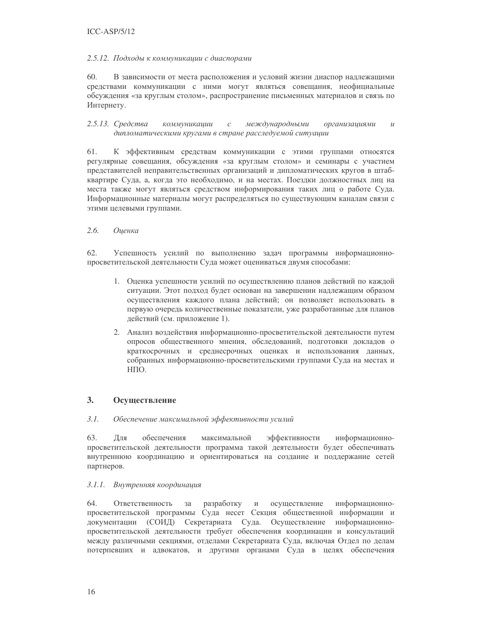### $ICC-ASP/5/12$

### 2.5.12. Подходы к коммуникации с диаспорами

60. В зависимости от места расположения и условий жизни диаспор надлежащими средствами коммуникации с ними могут являться совещания, неофициальные обсуждения «за круглым столом», распространение письменных материалов и связь по Интернету.

2.5.13. Средства коммуникации  $\mathcal C$ международными организациями  $\overline{u}$ дипломатическими кругами в стране расследуемой ситуации

61. К эффективным средствам коммуникации с этими группами относятся регулярные совещания, обсуждения «за круглым столом» и семинары с участием представителей неправительственных организаций и дипломатических кругов в штабквартире Суда, а, когда это необходимо, и на местах. Поездки должностных лиц на места также могут являться средством информирования таких лиц о работе Суда. Информационные материалы могут распределяться по существующим каналам связи с этими целевыми группами.

#### $2.6.$ Оиенка

62. Успешность усилий по выполнению задач программы информационнопросветительской деятельности Суда может оцениваться двумя способами:

- 1. Оценка успешности усилий по осуществлению планов действий по каждой ситуации. Этот подход будет основан на завершении надлежащим образом осуществления каждого плана действий; он позволяет использовать в первую очередь количественные показатели, уже разработанные для планов действий (см. приложение 1).
- 2. Анализ воздействия информационно-просветительской деятельности путем опросов общественного мнения, обследований, подготовки докладов о краткосрочных и среднесрочных оценках и использования данных, собранных информационно-просветительскими группами Суда на местах и НПО.

#### $\overline{3}$ . Осуществление

#### $3.1.$ Обеспечение максимальной эффективности усилий

63. Для обеспечения максимальной эффективности информационнопросветительской деятельности программа такой деятельности будет обеспечивать внутреннюю координацию и ориентироваться на создание и поддержание сетей партнеров.

### 3.1.1. Внутренняя координация

64. Ответственность за разработку  $\,$  M осуществление информационнопросветительской программы Суда несет Секция общественной информации и документации (СОИД) Секретариата Суда. Осуществление информационнопросветительской деятельности требует обеспечения координации и консультаций между различными секциями, отделами Секретариата Суда, включая Отдел по делам потерпевших и адвокатов, и другими органами Суда в целях обеспечения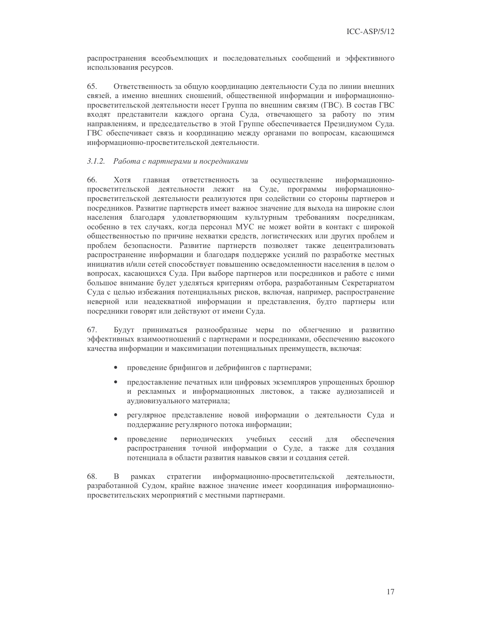распространения всеобъемлющих и последовательных сообщений и эффективного использования ресурсов.

65. Ответственность за общую координацию деятельности Суда по линии внешних связей, а именно внешних сношений, общественной информации и информационнопросветительской деятельности несет Группа по внешним связям (ГВС). В состав ГВС входят представители каждого органа Суда, отвечающего за работу по этим направлениям, и председательство в этой Группе обеспечивается Президиумом Суда. ГВС обеспечивает связь и координацию между органами по вопросам, касающимся информационно-просветительской деятельности.

### 3.1.2. Работа с партнерами и посредниками

66 Хотя главная ответственность осуществление информационно-32 просветительской деятельности лежит на Суде, программы информационнопросветительской деятельности реализуются при содействии со стороны партнеров и посредников. Развитие партнерств имеет важное значение для выхода на широкие слои населения благодаря удовлетворяющим культурным требованиям посредникам, особенно в тех случаях, когда персонал МУС не может войти в контакт с широкой общественностью по причине нехватки средств, логистических или других проблем и проблем безопасности. Развитие партнерств позволяет также децентрализовать распространение информации и благодаря поддержке усилий по разработке местных инициатив и/или сетей способствует повышению осведомленности населения в целом о вопросах, касающихся Суда. При выборе партнеров или посредников и работе с ними большое внимание будет уделяться критериям отбора, разработанным Секретариатом Суда с целью избежания потенциальных рисков, включая, например, распространение неверной или неадекватной информации и представления, будто партнеры или посредники говорят или действуют от имени Суда.

67. Будут приниматься разнообразные меры по облегчению и развитию эффективных взаимоотношений с партнерами и посредниками, обеспечению высокого качества информации и максимизации потенциальных преимуществ, включая:

- проведение брифингов и дебрифингов с партнерами;
- предоставление печатных или цифровых экземпляров упрощенных брошюр  $\bullet$ и рекламных и информационных листовок, а также аудиозаписей и аудиовизуального материала;
- регулярное представление новой информации о деятельности Суда и  $\bullet$ поддержание регулярного потока информации;
- $\bullet$ провеление периодических учебных сессий ЛЛЯ обеспечения распространения точной информации о Суде, а также для создания потенциала в области развития навыков связи и создания сетей.

68. B рамках стратегии информационно-просветительской деятельности, разработанной Судом, крайне важное значение имеет координация информационнопросветительских мероприятий с местными партнерами.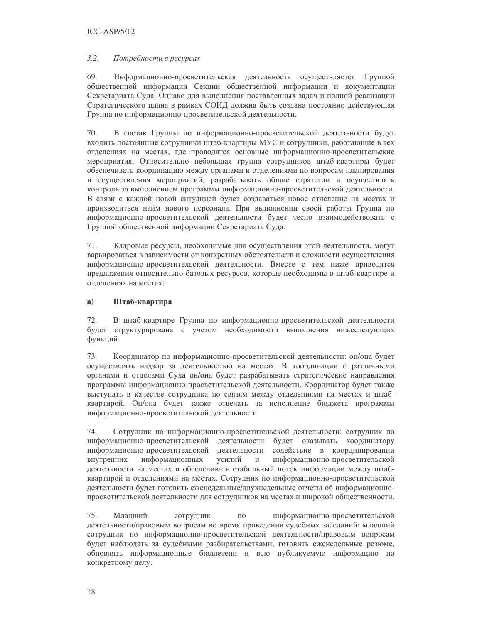#### $3.2.$ Потребности в ресурсах

69. Информационно-просветительская деятельность осуществляется Группой общественной информации Секции общественной информации и документации Секретариата Суда. Однако для выполнения поставленных задач и полной реализации Стратегического плана в рамках СОИД должна быть создана постоянно действующая Группа по информационно-просветительской деятельности.

70. В состав Группы по информационно-просветительской деятельности будут входить постоянные сотрудники штаб-квартиры МУС и сотрудники, работающие в тех отделениях на местах, где проводятся основные информационно-просветительские мероприятия. Относительно небольшая группа сотрудников штаб-квартиры будет обеспечивать координацию между органами и отделениями по вопросам планирования и осуществления мероприятий, разрабатывать общие стратегии и осуществлять контроль за выполнением программы информационно-просветительской деятельности. В связи с каждой новой ситуацией будет создаваться новое отделение на местах и производиться найм нового персонала. При выполнении своей работы Группа по информационно-просветительской деятельности будет тесно взаимодействовать с Группой общественной информации Секретариата Суда.

71. Кадровые ресурсы, необходимые для осуществления этой деятельности, могут варьироваться в зависимости от конкретных обстоятельств и сложности осуществления информационно-просветительской деятельности. Вместе с тем ниже приводятся предложения относительно базовых ресурсов, которые необходимы в штаб-квартире и отлелениях на местах:

#### $a)$ Штаб-квартира

72. В штаб-квартире Группа по информационно-просветительской деятельности будет структурирована с учетом необходимости выполнения нижеследующих функций.

73. Координатор по информационно-просветительской деятельности: он/она будет осуществлять надзор за деятельностью на местах. В координации с различными органами и отделами Суда он/она будет разрабатывать стратегические направления программы информационно-просветительской деятельности. Координатор будет также выступать в качестве сотрудника по связям между отделениями на местах и штабквартирой. Он/она будет также отвечать за исполнение бюджета программы информационно-просветительской деятельности.

74. Сотрудник по информационно-просветительской деятельности: сотрудник по информационно-просветительской деятельности будет оказывать координатору информационно-просветительской деятельности содействие в координировании внутренних информационных усилий  $\,$   $\,$   $\,$ информационно-просветительской деятельности на местах и обеспечивать стабильный поток информации между штабквартирой и отделениями на местах. Сотрудник по информационно-просветительской деятельности будет готовить еженедельные/двухнедельные отчеты об информационнопросветительской деятельности для сотрудников на местах и широкой общественности.

Млалший 75. сотрудник  $\overline{10}$ информационно-просветительской деятельности/правовым вопросам во время проведения судебных заседаний: младший сотрудник по информационно-просветительской деятельности/правовым вопросам будет наблюдать за судебными разбирательствами, готовить еженедельные резюме, обновлять информационные бюллетени и всю публикуемую информацию по конкретному делу.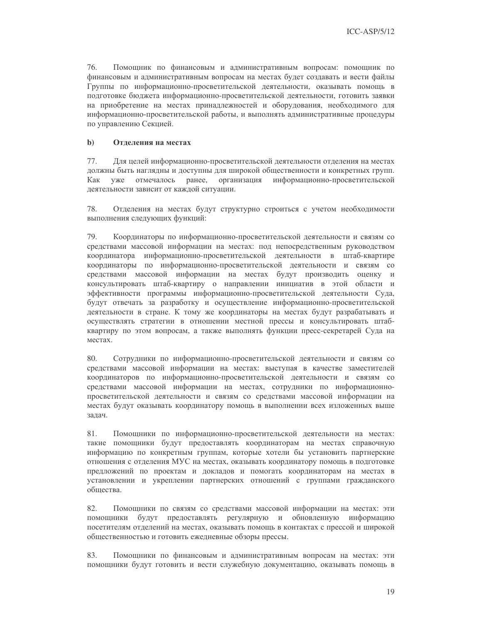76. Помощник по финансовым и административным вопросам: помощник по финансовым и административным вопросам на местах будет создавать и вести файлы Группы по информационно-просветительской деятельности, оказывать помощь в подготовке бюджета информационно-просветительской деятельности, готовить заявки на приобретение на местах принадлежностей и оборудования, необходимого для информационно-просветительской работы, и выполнять административные процедуры по управлению Секцией.

#### $\mathbf{b}$ Отделения на местах

77. Для целей информационно-просветительской деятельности отделения на местах должны быть наглядны и доступны для широкой общественности и конкретных групп. отмечалось ранее, организация информационно-просветительской Как уже деятельности зависит от каждой ситуации.

Отделения на местах будут структурно строиться с учетом необходимости 78. выполнения следующих функций:

79. Координаторы по информационно-просветительской деятельности и связям со средствами массовой информации на местах: под непосредственным руководством координатора информационно-просветительской деятельности в штаб-квартире координаторы по информационно-просветительской деятельности и связям со средствами массовой информации на местах будут производить оценку и консультировать штаб-квартиру о направлении инициатив в этой области и эффективности программы информационно-просветительской деятельности Суда, будут отвечать за разработку и осуществление информационно-просветительской деятельности в стране. К тому же координаторы на местах будут разрабатывать и осуществлять стратегии в отношении местной прессы и консультировать штабквартиру по этом вопросам, а также выполнять функции пресс-секретарей Суда на местах.

80 Сотрудники по информационно-просветительской деятельности и связям со средствами массовой информации на местах: выступая в качестве заместителей координаторов по информационно-просветительской деятельности и связям со средствами массовой информации на местах, сотрудники по информационнопросветительской деятельности и связям со средствами массовой информации на местах будут оказывать координатору помощь в выполнении всех изложенных выше задач.

81. Помощники по информационно-просветительской деятельности на местах: такие помощники будут предоставлять координаторам на местах справочную информацию по конкретным группам, которые хотели бы установить партнерские отношения с отделения МУС на местах, оказывать координатору помощь в подготовке предложений по проектам и докладов и помогать координаторам на местах в установлении и укреплении партнерских отношений с группами гражданского общества.

82. Помощники по связям со средствами массовой информации на местах: эти помощники будут предоставлять регулярную и обновленную информацию посетителям отделений на местах, оказывать помощь в контактах с прессой и широкой общественностью и готовить ежедневные обзоры прессы.

83. Помощники по финансовым и административным вопросам на местах: эти помощники будут готовить и вести служебную документацию, оказывать помощь в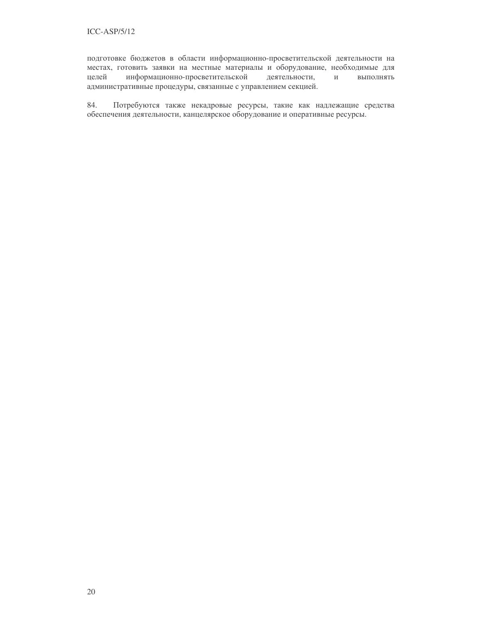подготовке бюджетов в области информационно-просветительской деятельности на местах, готовить заявки на местные материалы и оборудование, необходимые для целей информационно-просветительской деятельности, выполнять административные процедуры, связанные с управлением секцией.

84. Потребуются также некадровые ресурсы, такие как надлежащие средства обеспечения деятельности, канцелярское оборудование и оперативные ресурсы.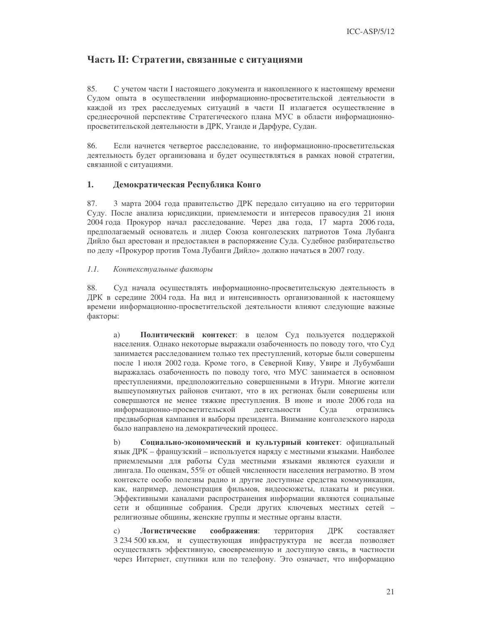## Часть II: Стратегии, связанные с ситуациями

85. С учетом части I настоящего документа и накопленного к настоящему времени Судом опыта в осуществлении информационно-просветительской деятельности в каждой из трех расследуемых ситуаций в части II излагается осуществление в среднесрочной перспективе Стратегического плана МУС в области информационнопросветительской деятельности в ДРК, Уганде и Дарфуре, Судан.

86. Если начнется четвертое расследование, то информационно-просветительская деятельность будет организована и будет осуществляться в рамках новой стратегии, связанной с ситуациями.

#### 1. Демократическая Республика Конго

87. 3 марта 2004 года правительство ДРК передало ситуацию на его территории Суду. После анализа юрисдикции, приемлемости и интересов правосудия 21 июня 2004 года Прокурор начал расследование. Через два года, 17 марта 2006 года, предполагаемый основатель и лидер Союза конголезских патриотов Тома Лубанга Дийло был арестован и предоставлен в распоряжение Суда. Судебное разбирательство по делу «Прокурор против Тома Лубанги Дийло» должно начаться в 2007 году.

#### $1.1.$ Контекстуальные факторы

88. Суд начала осуществлять информационно-просветительскую деятельность в ДРК в середине 2004 года. На вид и интенсивность организованной к настоящему времени информационно-просветительской деятельности влияют следующие важные факторы:

Политический контекст: в целом Суд пользуется поддержкой a) населения. Однако некоторые выражали озабоченность по поводу того, что Суд занимается расследованием только тех преступлений, которые были совершены после 1 июля 2002 года. Кроме того, в Северной Киву, Увире и Лубумбаши выражалась озабоченность по поводу того, что МУС занимается в основном преступлениями, предположительно совершенными в Итури. Многие жители вышеупомянутых районов считают, что в их регионах были совершены или совершаются не менее тяжкие преступления. В июне и июле 2006 года на информационно-просветительской деятельности Суда отразились предвыборная кампания и выборы президента. Внимание конголезского народа было направлено на демократический процесс.

 $b)$ Социально-экономический и культурный контекст: официальный язык ДРК - французский - используется наряду с местными языками. Наиболее приемлемыми для работы Суда местными языками являются суахили и лингала. По оценкам, 55% от общей численности населения неграмотно. В этом контексте особо полезны радио и другие доступные средства коммуникации, как, например, демонстрация фильмов, видеосюжеты, плакаты и рисунки. Эффективными каналами распространения информации являются социальные сети и общинные собрания. Среди других ключевых местных сетей религиозные общины, женские группы и местные органы власти.

 $\mathbf{c})$ Логистические соображения: территория ДРК составляет 3 234 500 кв. км, и существующая инфраструктура не всегда позволяет осуществлять эффективную, своевременную и доступную связь, в частности через Интернет, спутники или по телефону. Это означает, что информацию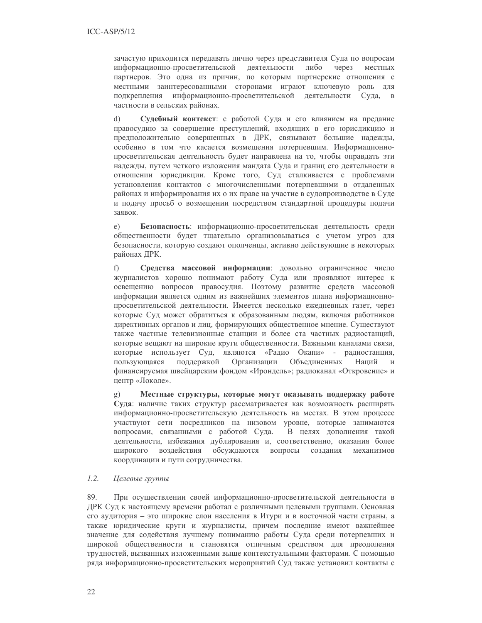зачастую приходится передавать лично через представителя Суда по вопросам информационно-просветительской деятельности либо через местных партнеров. Это одна из причин, по которым партнерские отношения с местными заинтересованными сторонами играют ключевую роль для подкрепления информационно-просветительской деятельности Суда, в частности в сельских районах.

Судебный контекст: с работой Суда и его влиянием на предание  $\rm d$ правосудию за совершение преступлений, входящих в его юрисдикцию и предположительно совершенных в ДРК, связывают большие надежды, особенно в том что касается возмещения потерпевшим. Информационнопросветительская деятельность будет направлена на то, чтобы оправдать эти надежды, путем четкого изложения мандата Суда и границ его деятельности в отношении юрисдикции. Кроме того, Суд сталкивается с проблемами установления контактов с многочисленными потерпевшими в отдаленных районах и информирования их о их праве на участие в судопроизводстве в Суде и подачу просьб о возмещении посредством стандартной процедуры подачи заявок.

 $e)$ Безопасность: информационно-просветительская деятельность среди общественности будет тщательно организовываться с учетом угроз для безопасности, которую создают ополченцы, активно действующие в некоторых районах ДРК.

 $f$ ) Средства массовой информации: довольно ограниченное число журналистов хорошо понимают работу Суда или проявляют интерес к освещению вопросов правосудия. Поэтому развитие средств массовой информации является одним из важнейших элементов плана информационнопросветительской деятельности. Имеется несколько ежедневных газет, через которые Суд может обратиться к образованным людям, включая работников директивных органов и лиц, формирующих общественное мнение. Существуют также частные телевизионные станции и более ста частных радиостанций, которые вещают на широкие круги общественности. Важными каналами связи, которые использует Суд, являются «Радио Окапи» - радиостанция, пользующаяся поддержкой Организации Объединенных Наций  $\overline{M}$ финансируемая швейцарским фондом «Ирондель»; радиоканал «Откровение» и центр «Локоле».

Местные структуры, которые могут оказывать поддержку работе  $g)$ Суда: наличие таких структур рассматривается как возможность расширять информационно-просветительскую деятельность на местах. В этом процессе участвуют сети посредников на низовом уровне, которые занимаются вопросами, связанными с работой Суда. В целях дополнения такой деятельности, избежания дублирования и, соответственно, оказания более широкого воздействия обсуждаются вопросы создания механизмов координации и пути сотрудничества.

#### $1.2.$ Целевые группы

89. При осуществлении своей информационно-просветительской деятельности в ДРК Суд к настоящему времени работал с различными целевыми группами. Основная его аудитория - это широкие слои населения в Итури и в восточной части страны, а также юридические круги и журналисты, причем последние имеют важнейшее значение для содействия лучшему пониманию работы Суда среди потерпевших и широкой общественности и становятся отличным средством для преодоления трудностей, вызванных изложенными выше контекстуальными факторами. С помощью ряда информационно-просветительских мероприятий Суд также установил контакты с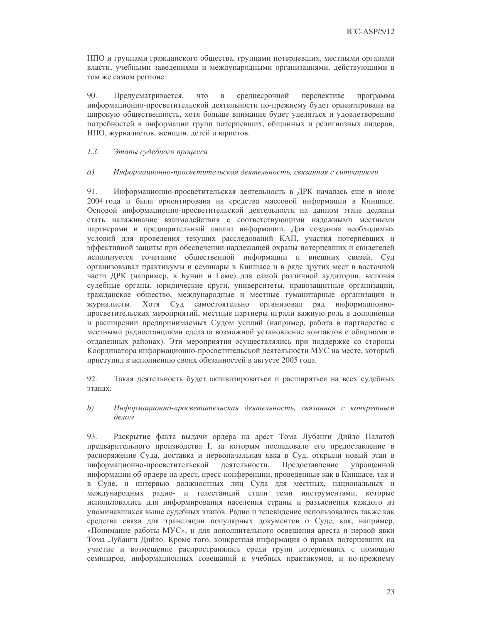НПО и группами гражданского общества, группами потерпевших, местными органами власти, учебными заведениями и международными организациями, действующими в том же самом регионе.

90. что среднесрочной перспективе Предусматривается,  $\, {\bf B}$ программа информационно-просветительской деятельности по-прежнему будет ориентирована на широкую общественность, хотя больше внимания будет уделяться и удовлетворению потребностей в информации групп потерпевших, общинных и религиозных лидеров, НПО, журналистов, женщин, детей и юристов.

#### $1.3.$ Этапы судебного процесса

#### $a)$ Информационно-просветительская деятельность, связанная с ситуациями

91. Информационно-просветительская деятельность в ДРК началась еще в июле 2004 года и была ориентирована на средства массовой информации в Киншасе. Основой информационно-просветительской деятельности на данном этапе должны стать налаживание взаимодействия с соответствующими надежными местными партнерами и предварительный анализ информации. Для создания необходимых условий для проведения текущих расследований КАП, участия потерпевших и эффективной защиты при обеспечении надлежащей охраны потерпевших и свидетелей используется сочетание общественной информации и внешних связей. Суд организовывал практикумы и семинары в Киншасе и в ряде других мест в восточной части ДРК (например, в Бунии и Гоме) для самой различной аудитории, включая судебные органы, юридические круги, университеты, правозащитные организации, гражданское общество, международные и местные гуманитарные организации и Хотя Суд самостоятельно организовал журналисты. ряд информационнопросветительских мероприятий, местные партнеры играли важную роль в дополнении и расширении предпринимаемых Судом усилий (например, работа в партнерстве с местными радиостанциями сделала возможной установление контактов с общинами в отдаленных районах). Эти мероприятия осуществлялись при поддержке со стороны Координатора информационно-просветительской деятельности МУС на месте, который приступил к исполнению своих обязанностей в августе 2005 года.

92. Такая деятельность будет активизироваться и расширяться на всех судебных этапах.

 $(b)$ Информационно-просветительская деятельность, связанная с конкретным делом

93. Раскрытие факта выдачи ордера на арест Тома Лубанги Дийло Палатой предварительного производства I, за которым последовало его предоставление в распоряжение Суда, доставка и первоначальная явка в Суд, открыли новый этап в Предоставление информационно-просветительской деятельности. упрощенной информации об ордере на арест, пресс-конференции, проведенные как в Киншасе, так и в Суде, и интервью должностных лиц Суда для местных, национальных и международных радио- и телестанций стали теми инструментами, которые использовались для информирования населения страны и разъяснения каждого из упоминавшихся выше судебных этапов. Радио и телевидение использовались также как средства связи для трансляции популярных документов о Суде, как, например, «Понимание работы МУС», и для дополнительного освещения ареста и первой явки Тома Лубанги Дийло. Кроме того, конкретная информация о правах потерпевших на участие и возмещение распространялась среди групп потерпевших с помощью семинаров, информационных совещаний и учебных практикумов, и по-прежнему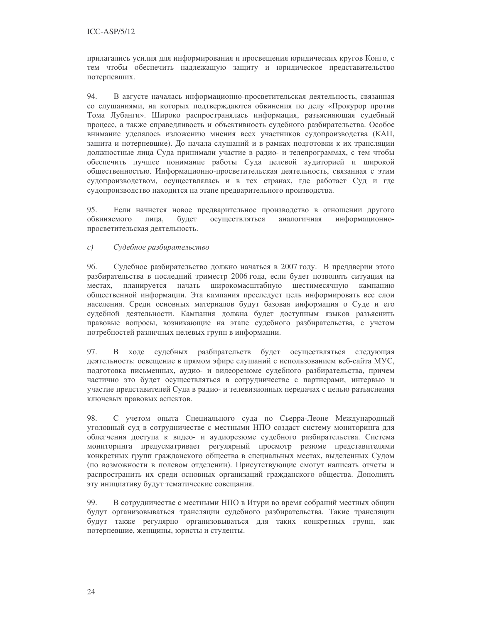прилагались усилия для информирования и просвещения юридических кругов Конго, с тем чтобы обеспечить надлежащую защиту и юридическое представительство потерпевших.

94. В августе началась информационно-просветительская деятельность, связанная со слушаниями, на которых подтверждаются обвинения по делу «Прокурор против Тома Лубанги». Широко распространялась информация, разъясняющая судебный процесс, а также справедливость и объективность судебного разбирательства. Особое внимание уделялось изложению мнения всех участников судопроизводства (КАП, защита и потерпевшие). До начала слушаний и в рамках подготовки к их трансляции должностные лица Суда принимали участие в радио- и телепрограммах, с тем чтобы обеспечить лучшее понимание работы Суда целевой аудиторией и широкой общественностью. Информационно-просветительская деятельность, связанная с этим судопроизводством, осуществлялась и в тех странах, где работает Суд и где судопроизводство находится на этапе предварительного производства.

95. Если начнется новое предварительное производство в отношении другого обвиняемого лица. будет осуществляться аналогичная информационнопросветительская деятельность.

 $c)$ Судебное разбирательство

96 Судебное разбирательство должно начаться в 2007 году. В преддверии этого разбирательства в последний триместр 2006 года, если будет позволять ситуация на местах, планируется начать широкомасштабную шестимесячную кампанию общественной информации. Эта кампания преследует цель информировать все слои населения. Среди основных материалов будут базовая информация о Суде и его судебной деятельности. Кампания должна будет доступным языков разъяснить правовые вопросы, возникающие на этапе судебного разбирательства, с учетом потребностей различных целевых групп в информации.

97. В ходе судебных разбирательств будет осуществляться следующая деятельность: освещение в прямом эфире слушаний с использованием веб-сайта МУС, подготовка письменных, аудио- и видеорезюме судебного разбирательства, причем частично это будет осуществляться в сотрудничестве с партнерами, интервью и участие представителей Суда в радио- и телевизионных передачах с целью разъяснения ключевых правовых аспектов.

98. С учетом опыта Специального суда по Сьерра-Леоне Международный уголовный суд в сотрудничестве с местными НПО создаст систему мониторинга для облегчения доступа к видео- и аудиорезюме судебного разбирательства. Система мониторинга предусматривает регулярный просмотр резюме представителями конкретных групп гражданского общества в специальных местах, выделенных Судом (по возможности в полевом отделении). Присутствующие смогут написать отчеты и распространить их среди основных организаций гражданского общества. Дополнять эту инициативу будут тематические совещания.

99. В сотрудничестве с местными НПО в Итури во время собраний местных общин будут организовываться трансляции судебного разбирательства. Такие трансляции будут также регулярно организовываться для таких конкретных групп, как потерпевшие, женщины, юристы и студенты.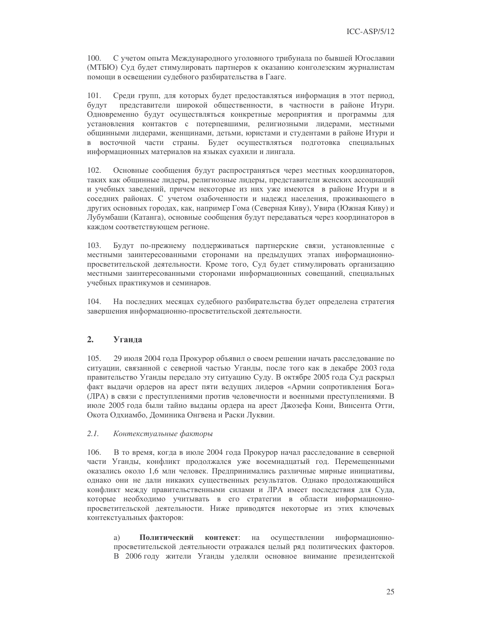$100.$ С учетом опыта Международного уголовного трибунала по бывшей Югославии (МТБЮ) Суд будет стимулировать партнеров к оказанию конголезским журналистам помощи в освещении судебного разбирательства в Гааге.

Среди групп, для которых будет предоставляться информация в этот период, 101. представители широкой общественности, в частности в районе Итури. будут Одновременно будут осуществляться конкретные мероприятия и программы для установления контактов с потерпевшими, религиозными лидерами, местными общинными лидерами, женщинами, детьми, юристами и студентами в районе Итури и в восточной части страны. Будет осуществляться подготовка специальных информационных материалов на языках суахили и лингала.

 $102.$ Основные сообщения будут распространяться через местных координаторов, таких как общинные лидеры, религиозные лидеры, представители женских ассоциаций и учебных заведений, причем некоторые из них уже имеются в районе Итури и в соседних районах. С учетом озабоченности и надежд населения, проживающего в других основных городах, как, например Гома (Северная Киву), Увира (Южная Киву) и Лубумбаши (Катанга), основные сообщения будут передаваться через координаторов в каждом соответствующем регионе.

 $103.$ Будут по-прежнему поддерживаться партнерские связи, установленные с местными заинтересованными сторонами на предыдущих этапах информационнопросветительской деятельности. Кроме того, Суд будет стимулировать организацию местными заинтересованными сторонами информационных совещаний, специальных учебных практикумов и семинаров.

104. На последних месяцах судебного разбирательства будет определена стратегия завершения информационно-просветительской деятельности.

#### $2.$ Уганла

 $105.$ 29 июля 2004 года Прокурор объявил о своем решении начать расследование по ситуации, связанной с северной частью Уганды, после того как в декабре 2003 года правительство Уганды передало эту ситуацию Суду. В октябре 2005 года Суд раскрыл факт выдачи ордеров на арест пяти ведущих лидеров «Армии сопротивления Бога» (ЛРА) в связи с преступлениями против человечности и военными преступлениями. В июле 2005 года были тайно выданы ордера на арест Джозефа Кони, Винсента Отти, Окота Одхиамбо, Доминика Онгвена и Раски Луквии.

#### $2.1.$ Контекстуальные факторы

 $106.$ В то время, когда в июле 2004 года Прокурор начал расследование в северной части Уганды, конфликт продолжался уже восемнадцатый год. Перемещенными оказались около 1,6 млн человек. Предпринимались различные мирные инициативы, однако они не дали никаких существенных результатов. Однако продолжающийся конфликт между правительственными силами и ЛРА имеет последствия для Суда, которые необходимо учитывать в его стратегии в области информационнопросветительской деятельности. Ниже приводятся некоторые из этих ключевых контекстуальных факторов:

Политический контекст: осуществлении информационноa) на просветительской деятельности отражался целый ряд политических факторов. В 2006 году жители Уганды уделяли основное внимание президентской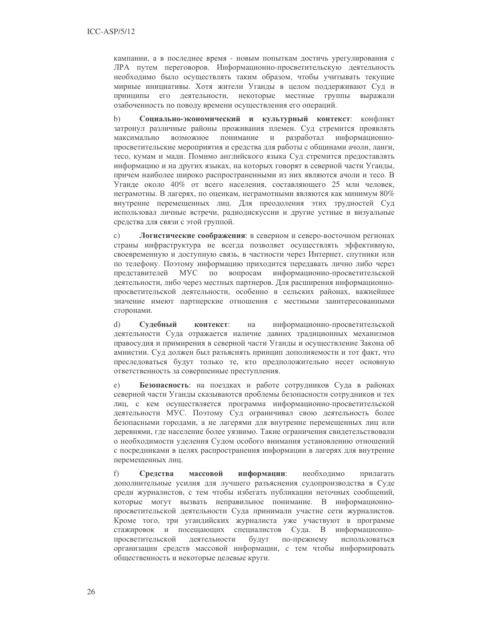кампании, а в последнее время - новым попыткам достичь урегулирования с ЛРА путем переговоров. Информационно-просветительскую деятельность необходимо было осуществлять таким образом, чтобы учитывать текущие мирные инициативы. Хотя жители Уганды в целом поддерживают Суд и принципы его деятельности, некоторые местные группы выражали озабоченность по поводу времени осуществления его операций.

 $h)$ Социально-экономический и культурный контекст: конфликт затронул различные районы проживания племен. Суд стремится проявлять максимально возможное понимание разработал информационнопросветительские мероприятия и средства для работы с общинами ачоли, ланги, тесо, кумам и мади. Помимо английского языка Суд стремится предоставлять информацию и на других языках, на которых говорят в северной части Уганды, причем наиболее широко распространенными из них являются ачоли и тесо. В Уганде около 40% от всего населения, составляющего 25 млн человек, неграмотны. В лагерях, по оценкам, неграмотными являются как минимум 80% внутренне перемещенных лиц. Для преодоления этих трудностей Суд использовал личные встречи, радиодискуссии и другие устные и визуальные средства для связи с этой группой.

Логистические соображения: в северном и северо-восточном регионах  $\mathbf{c}$ ) страны инфраструктура не всегда позволяет осуществлять эффективную, своевременную и доступную связь, в частности через Интернет, спутники или по телефону. Поэтому информацию приходится передавать лично либо через МУС по вопросам информационно-просветительской представителей деятельности, либо через местных партнеров. Для расширения информационнопросветительской деятельности, особенно в сельских районах, важнейшее значение имеют партнерские отношения с местными заинтересованными сторонами.

 $\mathbf{d}$ Судебный контекст: на информационно-просветительской деятельности Суда отражается наличие давних традиционных механизмов правосудия и примирения в северной части Уганды и осуществление Закона об амнистии. Суд должен был разъяснять принцип дополняемости и тот факт, что преследоваться будут только те, кто предположительно несет основную ответственность за совершенные преступления.

Безопасность: на поездках и работе сотрудников Суда в районах  $e)$ северной части Уганды сказываются проблемы безопасности сотрудников и тех лиц, с кем осуществляется программа информационно-просветительской деятельности МУС. Поэтому Суд ограничивал свою деятельность более безопасными городами, а не лагерями для внутренне перемещенных лиц или деревнями, где население более уязвимо. Такие ограничения свидетельствовали о необходимости уделения Судом особого внимания установлению отношений с посредниками в целях распространения информации в лагерях для внутренне перемещенных лиц.

f) Средства массовой информации: необхолимо прилагать дополнительные усилия для лучшего разъяснения судопроизводства в Суде среди журналистов, с тем чтобы избегать публикации неточных сообщений, которые могут вызвать неправильное понимание. В информационнопросветительской деятельности Суда принимали участие сети журналистов. Кроме того, три угандийских журналиста уже участвуют в программе стажировок и посещающих специалистов Суда. В информационнопросветительской деятельности будут по-прежнему использоваться организации средств массовой информации, с тем чтобы информировать общественность и некоторые целевые круги.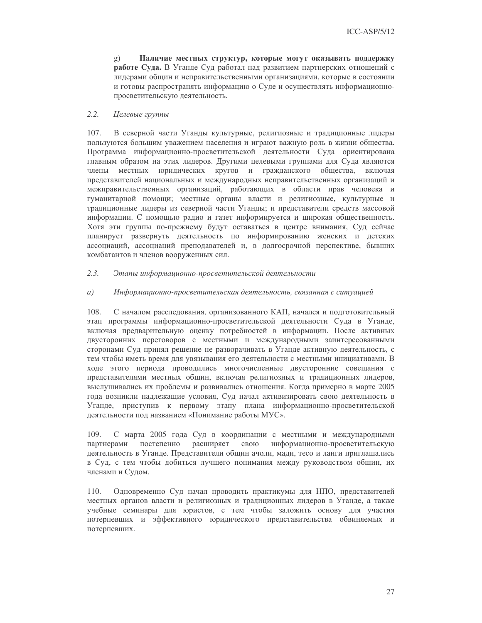$\mathfrak{g}$ ) Наличие местных структур, которые могут оказывать поддержку работе Суда. В Уганде Суд работал над развитием партнерских отношений с лидерами общин и неправительственными организациями, которые в состоянии и готовы распространять информацию о Суде и осуществлять информационнопросветительскую деятельность.

#### $2.2.$ Целевые группы

 $107.$ В северной части Уганды культурные, религиозные и традиционные лидеры пользуются большим уважением населения и играют важную роль в жизни общества. Программа информационно-просветительской деятельности Суда ориентирована главным образом на этих лидеров. Другими целевыми группами для Суда являются члены местных юридических кругов и гражданского общества, включая представителей национальных и международных неправительственных организаций и межправительственных организаций, работающих в области прав человека и гуманитарной помощи; местные органы власти и религиозные, культурные и традиционные лидеры из северной части Уганды; и представители средств массовой информации. С помощью радио и газет информируется и широкая общественность. Хотя эти группы по-прежнему будут оставаться в центре внимания, Суд сейчас планирует развернуть деятельность по информированию женских и детских ассоциаций, ассоциаций преподавателей и, в долгосрочной перспективе, бывших комбатантов и членов вооруженных сил.

#### $2.3.$ Этапы информационно-просветительской деятельности

#### $a)$ Информационно-просветительская деятельность, связанная с ситуацией

108. С началом расследования, организованного КАП, начался и подготовительный этап программы информационно-просветительской деятельности Суда в Уганде, включая предварительную оценку потребностей в информации. После активных двусторонних переговоров с местными и международными заинтересованными сторонами Суд принял решение не разворачивать в Уганде активную деятельность, с тем чтобы иметь время для увязывания его деятельности с местными инициативами. В ходе этого периода проводились многочисленные двусторонние совещания с представителями местных общин, включая религиозных и традиционных лидеров, выслушивались их проблемы и развивались отношения. Когда примерно в марте 2005 года возникли надлежащие условия, Суд начал активизировать свою деятельность в Уганде, приступив к первому этапу плана информационно-просветительской деятельности под названием «Понимание работы МУС».

109. С марта 2005 года Суд в координации с местными и международными партнерами постепенно расширяет свою информационно-просветительскую деятельность в Уганде. Представители общин ачоли, мади, тесо и ланги приглашались в Суд, с тем чтобы добиться лучшего понимания между руководством общин, их членами и Судом.

 $110.$ Одновременно Суд начал проводить практикумы для НПО, представителей местных органов власти и религиозных и традиционных лидеров в Уганде, а также учебные семинары для юристов, с тем чтобы заложить основу для участия потерпевших и эффективного юридического представительства обвиняемых и потерпевших.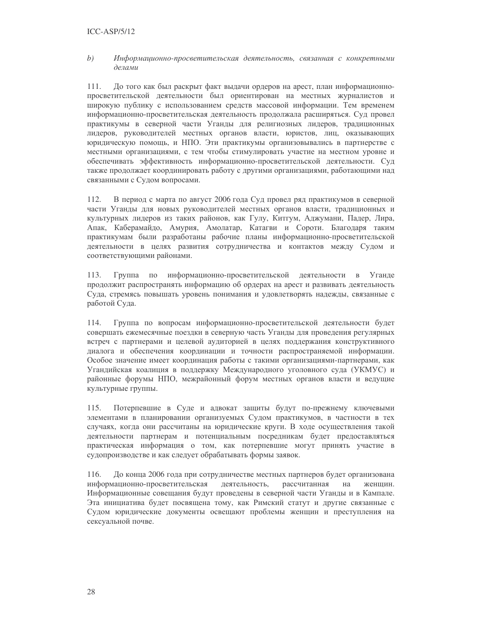#### $(b)$ Информационно-просветительская деятельность, связанная с конкретными делами

111. До того как был раскрыт факт выдачи ордеров на арест, план информационнопросветительской деятельности был ориентирован на местных журналистов и широкую публику с использованием средств массовой информации. Тем временем информационно-просветительская деятельность продолжала расширяться. Суд провел практикумы в северной части Уганды для религиозных лидеров, традиционных лидеров, руководителей местных органов власти, юристов, лиц, оказывающих юридическую помощь, и НПО. Эти практикумы организовывались в партнерстве с местными организациями, с тем чтобы стимулировать участие на местном уровне и обеспечивать эффективность информационно-просветительской деятельности. Суд также продолжает координировать работу с другими организациями, работающими над связанными с Судом вопросами.

В период с марта по август 2006 года Суд провел ряд практикумов в северной 112. части Уганды для новых руководителей местных органов власти, традиционных и культурных лидеров из таких районов, как Гулу, Китгум, Аджумани, Падер, Лира, Апак, Каберамайдо, Амурия, Амолатар, Катагви и Сороти. Благодаря таким практикумам были разработаны рабочие планы информационно-просветительской деятельности в целях развития сотрудничества и контактов между Судом и соответствующими районами.

113. Группа  $\Pi 0$ информационно-просветительской деятельности в Уганде продолжит распространять информацию об ордерах на арест и развивать деятельность Суда, стремясь повышать уровень понимания и удовлетворять надежды, связанные с работой Суда.

114. Группа по вопросам информационно-просветительской деятельности будет совершать ежемесячные поездки в северную часть Уганды для проведения регулярных встреч с партнерами и целевой аудиторией в целях поддержания конструктивного диалога и обеспечения координации и точности распространяемой информации. Особое значение имеет координация работы с такими организациями-партнерами, как Угандийская коалиция в поддержку Международного уголовного суда (УКМУС) и районные форумы НПО, межрайонный форум местных органов власти и ведущие культурные группы.

115. Потерпевшие в Суде и адвокат защиты будут по-прежнему ключевыми элементами в планировании организуемых Судом практикумов, в частности в тех случаях, когда они рассчитаны на юридические круги. В ходе осуществления такой деятельности партнерам и потенциальным посредникам будет предоставляться практическая информация о том, как потерпевшие могут принять участие в судопроизводстве и как следует обрабатывать формы заявок.

116. До конца 2006 года при сотрудничестве местных партнеров будет организована информационно-просветительская деятельность. рассчитанная на женшин. Информационные совещания будут проведены в северной части Уганды и в Кампале. Эта инициатива будет посвящена тому, как Римский статут и другие связанные с Судом юридические документы освещают проблемы женщин и преступления на сексуальной почве.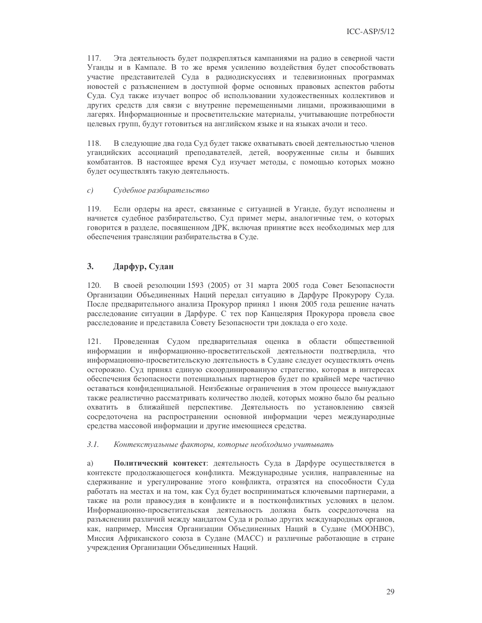117. Эта деятельность будет подкрепляться кампаниями на радио в северной части Уганды и в Кампале. В то же время усилению воздействия будет способствовать участие представителей Суда в радиодискуссиях и телевизионных программах новостей с разъяснением в доступной форме основных правовых аспектов работы Суда. Суд также изучает вопрос об использовании художественных коллективов и других средств для связи с внутренне перемещенными лицами, проживающими в лагерях. Информационные и просветительские материалы, учитывающие потребности целевых групп, будут готовиться на английском языке и на языках ачоли и тесо.

118. В следующие два года Суд будет также охватывать своей деятельностью членов угандийских ассоциаций преподавателей, детей, вооруженные силы и бывших комбатантов. В настоящее время Суд изучает методы, с помощью которых можно будет осуществлять такую деятельность.

#### $c)$ Судебное разбирательство

119. Если ордеры на арест, связанные с ситуацией в Уганде, будут исполнены и начнется судебное разбирательство, Суд примет меры, аналогичные тем, о которых говорится в разделе, посвященном ДРК, включая принятие всех необходимых мер для обеспечения трансляции разбирательства в Суде.

#### $3<sub>1</sub>$ Дарфур, Судан

120. В своей резолюции 1593 (2005) от 31 марта 2005 года Совет Безопасности Организации Объединенных Наций передал ситуацию в Дарфуре Прокурору Суда. После предварительного анализа Прокурор принял 1 июня 2005 года решение начать расследование ситуации в Дарфуре. С тех пор Канцелярия Прокурора провела свое расследование и представила Совету Безопасности три доклада о его ходе.

 $121.$ Проведенная Судом предварительная оценка в области общественной информации и информационно-просветительской деятельности подтвердила, что информационно-просветительскую деятельность в Судане следует осуществлять очень осторожно. Суд принял единую скоординированную стратегию, которая в интересах обеспечения безопасности потенциальных партнеров будет по крайней мере частично оставаться конфиденциальной. Неизбежные ограничения в этом процессе вынуждают также реалистично рассматривать количество людей, которых можно было бы реально охватить в ближайшей перспективе. Деятельность по установлению связей сосредоточена на распространении основной информации через международные средства массовой информации и другие имеющиеся средства.

#### $3.1.$ Контекстуальные факторы, которые необходимо учитывать

a) Политический контекст: деятельность Суда в Дарфуре осуществляется в контексте продолжающегося конфликта. Международные усилия, направленные на сдерживание и урегулирование этого конфликта, отразятся на способности Суда работать на местах и на том, как Суд будет восприниматься ключевыми партнерами, а также на роли правосудия в конфликте и в постконфликтных условиях в целом. Информационно-просветительская деятельность должна быть сосредоточена на разъяснении различий между мандатом Суда и ролью других международных органов, как, например, Миссия Организации Объединенных Наций в Судане (МООНВС), Миссия Африканского союза в Судане (МАСС) и различные работающие в стране учреждения Организации Объединенных Наций.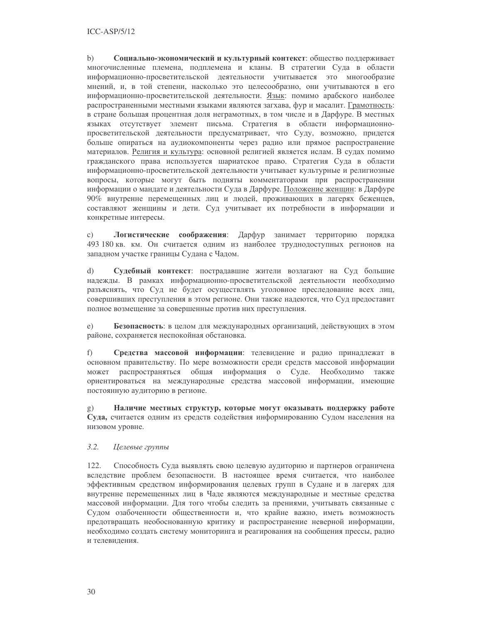$b)$ Социально-экономический и культурный контекст: общество поддерживает многочисленные племена, подплемена и кланы. В стратегии Суда в области информационно-просветительской деятельности учитывается это многообразие мнений, и, в той степени, насколько это целесообразно, они учитываются в его информационно-просветительской деятельности. Язык: помимо арабского наиболее распространенными местными языками являются загхава, фур и масалит. Грамотность: в стране большая процентная доля неграмотных, в том числе и в Дарфуре. В местных языках отсутствует элемент письма. Стратегия в области информационнопросветительской деятельности предусматривает, что Суду, возможно, придется больше опираться на аудиокомпоненты через радио или прямое распространение материалов. Религия и культура: основной религией является ислам. В судах помимо гражданского права используется шариатское право. Стратегия Суда в области информационно-просветительской деятельности учитывает культурные и религиозные вопросы, которые могут быть подняты комментаторами при распространении информации о мандате и деятельности Суда в Дарфуре. Положение женщин: в Дарфуре 90% внутренне перемещенных лиц и людей, проживающих в лагерях беженцев, составляют женщины и дети. Суд учитывает их потребности в информации и конкретные интересы.

Логистические соображения: Дарфур занимает территорию порядка  $\mathcal{C}$ ) 493 180 кв. км. Он считается одним из наиболее труднодоступных регионов на западном участке границы Судана с Чадом.

 $\mathrm{d}$ Судебный контекст: пострадавшие жители возлагают на Суд большие надежды. В рамках информационно-просветительской деятельности необходимо разъяснять, что Суд не будет осуществлять уголовное преследование всех лиц, совершивших преступления в этом регионе. Они также надеются, что Суд предоставит полное возмещение за совершенные против них преступления.

Безопасность: в целом для международных организаций, действующих в этом  $e)$ районе, сохраняется неспокойная обстановка.

f) Средства массовой информации: телевидение и радио принадлежат в основном правительству. По мере возможности среди средств массовой информации может распространяться общая информация о Суде. Необходимо также ориентироваться на международные средства массовой информации, имеющие постоянную аудиторию в регионе.

Наличие местных структур, которые могут оказывать поддержку работе  $g)$ Суда, считается одним из средств содействия информированию Судом населения на низовом уровне.

#### $3.2.$ Целевые группы

122. Способность Суда выявлять свою целевую аудиторию и партнеров ограничена вследствие проблем безопасности. В настоящее время считается, что наиболее эффективным средством информирования целевых групп в Судане и в лагерях для внутренне перемещенных лиц в Чаде являются международные и местные средства массовой информации. Для того чтобы следить за прениями, учитывать связанные с Судом озабоченности общественности и, что крайне важно, иметь возможность предотвращать необоснованную критику и распространение неверной информации, необходимо создать систему мониторинга и реагирования на сообщения прессы, радио и телевидения.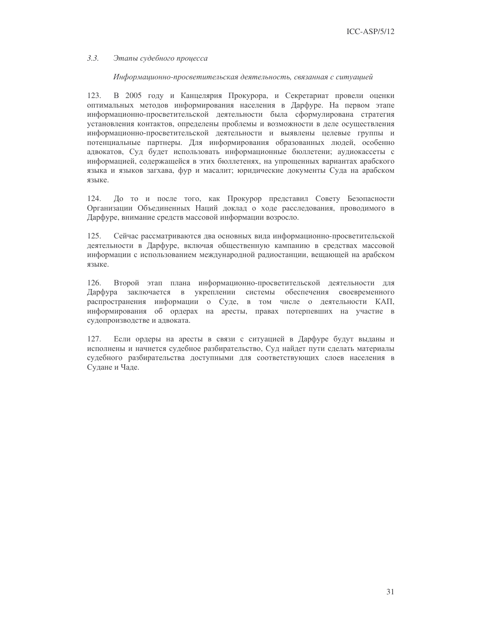#### $3.3.$ Этапы судебного процесса

### Информационно-просветительская деятельность, связанная с ситуацией

123. В 2005 году и Канцелярия Прокурора, и Секретариат провели оценки оптимальных методов информирования населения в Дарфуре. На первом этапе информационно-просветительской деятельности была сформулирована стратегия установления контактов, определены проблемы и возможности в деле осуществления информационно-просветительской деятельности и выявлены целевые группы и потенциальные партнеры. Для информирования образованных людей, особенно адвокатов, Суд будет использовать информационные бюллетени; аудиокассеты с информацией, содержащейся в этих бюллетенях, на упрощенных вариантах арабского языка и языков загхава, фур и масалит; юридические документы Суда на арабском языке.

124. До то и после того, как Прокурор представил Совету Безопасности Организации Объединенных Наций доклад о ходе расследования, проводимого в Дарфуре, внимание средств массовой информации возросло.

125. Сейчас рассматриваются два основных вида информационно-просветительской деятельности в Дарфуре, включая общественную кампанию в средствах массовой информации с использованием международной радиостанции, вещающей на арабском языке.

126. Второй этап плана информационно-просветительской деятельности для заключается в укреплении системы обеспечения своевременного Дарфура распространения информации о Суде, в том числе о деятельности КАП, информирования об ордерах на аресты, правах потерпевших на участие в судопроизводстве и адвоката.

127. Если ордеры на аресты в связи с ситуацией в Дарфуре будут выданы и исполнены и начнется судебное разбирательство, Суд найдет пути сделать материалы судебного разбирательства доступными для соответствующих слоев населения в Судане и Чаде.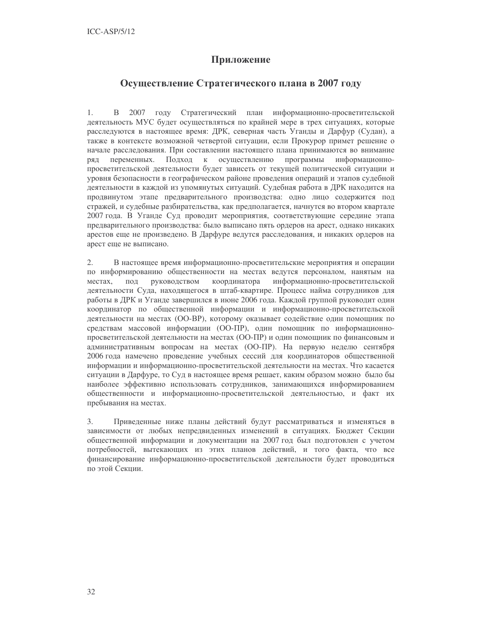## Приложение

## Осуществление Стратегического плана в 2007 году

 $1.$ В 2007 году Стратегический план информационно-просветительской деятельность МУС будет осуществляться по крайней мере в трех ситуациях, которые расследуются в настоящее время: ДРК, северная часть Уганды и Дарфур (Судан), а также в контексте возможной четвертой ситуации, если Прокурор примет решение о начале расследования. При составлении настоящего плана принимаются во внимание Подход к осуществлению программы переменных. информационноряд просветительской деятельности будет зависеть от текущей политической ситуации и уровня безопасности в географическом районе проведения операций и этапов судебной деятельности в каждой из упомянутых ситуаций. Судебная работа в ДРК находится на продвинутом этапе предварительного производства: одно лицо содержится под стражей, и судебные разбирательства, как предполагается, начнутся во втором квартале 2007 года. В Уганде Суд проводит мероприятия, соответствующие середине этапа предварительного производства: было выписано пять ордеров на арест, однако никаких арестов еще не произведено. В Дарфуре ведутся расследования, и никаких ордеров на арест еще не выписано.

 $2^{\circ}$ В настоящее время информационно-просветительские мероприятия и операции по информированию общественности на местах ведутся персоналом, нанятым на координатора информационно-просветительской местах, ПОД руководством деятельности Суда, находящегося в штаб-квартире. Процесс найма сотрудников для работы в ДРК и Уганде завершился в июне 2006 года. Каждой группой руководит один координатор по общественной информации и информационно-просветительской деятельности на местах (ОО-ВР), которому оказывает содействие один помощник по средствам массовой информации (ОО-ПР), один помощник по информационнопросветительской деятельности на местах (ОО-ПР) и один помощник по финансовым и административным вопросам на местах (ОО-ПР). На первую неделю сентября 2006 года намечено проведение учебных сессий для координаторов общественной информации и информационно-просветительской деятельности на местах. Что касается ситуации в Дарфуре, то Суд в настоящее время решает, каким образом можно было бы наиболее эффективно использовать сотрудников, занимающихся информированием общественности и информационно-просветительской деятельностью, и факт их пребывания на местах.

 $3.$ Приведенные ниже планы действий будут рассматриваться и изменяться в зависимости от любых непредвиденных изменений в ситуациях. Бюджет Секции общественной информации и документации на 2007 год был подготовлен с учетом потребностей, вытекающих из этих планов действий, и того факта, что все финансирование информационно-просветительской деятельности будет проводиться по этой Секнии.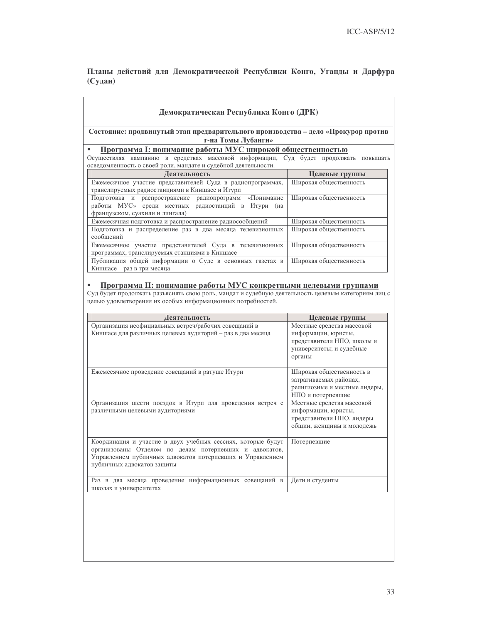Планы действий для Демократической Республики Конго, Уганды и Дарфура (Судан)

| Демократическая Республика Конго (ДРК)                                                                                                                                                                                                |                                                                                                                                 |  |  |  |
|---------------------------------------------------------------------------------------------------------------------------------------------------------------------------------------------------------------------------------------|---------------------------------------------------------------------------------------------------------------------------------|--|--|--|
| Состояние: продвинутый этап предварительного производства - дело «Прокурор против<br>г-на Томы Лубанги»<br>Программа І: понимание работы МУС широкой общественностью                                                                  |                                                                                                                                 |  |  |  |
|                                                                                                                                                                                                                                       |                                                                                                                                 |  |  |  |
| осведомленность о своей роли, мандате и судебной деятельности.                                                                                                                                                                        |                                                                                                                                 |  |  |  |
| Деятельность                                                                                                                                                                                                                          | Целевые группы                                                                                                                  |  |  |  |
| Ежемесячное участие представителей Суда в радиопрограммах,<br>транслируемых радиостанциями в Киншасе и Итури                                                                                                                          | Широкая общественность                                                                                                          |  |  |  |
| Подготовка и распространение<br>радиопрограмм<br>«Понимание<br>работы МУС» среди местных радиостанций в Итури (на<br>французском, суахили и лингала)                                                                                  | Широкая общественность                                                                                                          |  |  |  |
| Ежемесячная подготовка и распространение радиосообщений                                                                                                                                                                               | Широкая общественность                                                                                                          |  |  |  |
| Подготовка и распределение раз в два месяца телевизионных<br>сообщений                                                                                                                                                                | Широкая общественность                                                                                                          |  |  |  |
| Ежемесячное участие представителей Суда в телевизионных<br>программах, транслируемых станциями в Киншасе                                                                                                                              | Широкая общественность                                                                                                          |  |  |  |
| Публикация общей информации о Суде в основных газетах в<br>Киншасе - раз в три месяца                                                                                                                                                 | Широкая общественность                                                                                                          |  |  |  |
| Программа II: понимание работы МУС конкретными целевыми группами<br>Суд будет продолжать разъяснять свою роль, мандат и судебную деятельность целевым категориям лиц с<br>целью удовлетворения их особых информационных потребностей. |                                                                                                                                 |  |  |  |
|                                                                                                                                                                                                                                       |                                                                                                                                 |  |  |  |
| Деятельность                                                                                                                                                                                                                          | Целевые группы                                                                                                                  |  |  |  |
| Организация неофициальных встреч/рабочих совещаний в<br>Киншасе для различных целевых аудиторий - раз в два месяца                                                                                                                    | Местные средства массовой<br>информации, юристы,<br>представители НПО, школы и<br>университеты; и судебные<br>органы            |  |  |  |
| Ежемесячное проведение совещаний в ратуше Итури                                                                                                                                                                                       | Широкая общественность в<br>затрагиваемых районах,<br>религиозные и местные лидеры,                                             |  |  |  |
| Организация шести поездок в Итури для проведения встреч с<br>различными целевыми аудиториями                                                                                                                                          | НПО и потерпевшие<br>Местные средства массовой<br>информации, юристы,<br>представители НПО, лидеры<br>общин, женщины и молодежь |  |  |  |
| Координация и участие в двух учебных сессиях, которые будут<br>организованы Отделом по делам потерпевших и адвокатов,<br>Управлением публичных адвокатов потерпевших и Управлением<br>публичных адвокатов защиты                      | Потерпевшие                                                                                                                     |  |  |  |
| Раз в два месяца проведение информационных совещаний в<br>школах и университетах                                                                                                                                                      | Дети и студенты                                                                                                                 |  |  |  |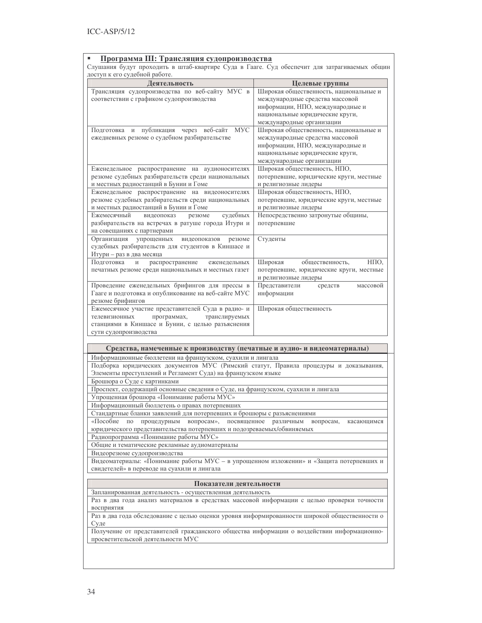| Программа III: Трансляция судопроизводства                                                                                                                                                                                                                                                  |                                                                                                                                                                               |  |  |  |  |
|---------------------------------------------------------------------------------------------------------------------------------------------------------------------------------------------------------------------------------------------------------------------------------------------|-------------------------------------------------------------------------------------------------------------------------------------------------------------------------------|--|--|--|--|
| Слушания будут проходить в штаб-квартире Суда в Гааге. Суд обеспечит для затрагиваемых общин<br>доступ к его судебной работе.                                                                                                                                                               |                                                                                                                                                                               |  |  |  |  |
| Деятельность                                                                                                                                                                                                                                                                                | Целевые группы                                                                                                                                                                |  |  |  |  |
| Трансляция судопроизводства по веб-сайту МУС в<br>соответствии с графиком судопроизводства                                                                                                                                                                                                  | Широкая общественность, национальные и<br>международные средства массовой<br>информации, НПО, международные и<br>национальные юридические круги,<br>международные организации |  |  |  |  |
| <b>MYC</b><br>через веб-сайт<br>Подготовка<br>$\,$ $\,$ $\,$<br>публикация<br>ежедневных резюме о судебном разбирательстве                                                                                                                                                                  | Широкая общественность, национальные и<br>международные средства массовой<br>информации, НПО, международные и<br>национальные юридические круги,<br>международные организации |  |  |  |  |
| Еженедельное распространение на аудионосителях<br>резюме судебных разбирательств среди национальных<br>и местных радиостанций в Бунии и Гоме                                                                                                                                                | Широкая общественность, НПО,<br>потерпевшие, юридические круги, местные<br>и религиозные лидеры                                                                               |  |  |  |  |
| Еженедельное распространение на видеоносителях<br>резюме судебных разбирательств среди национальных<br>и местных радиостанций в Бунии и Гоме<br>Ежемесячный<br>судебных<br>видеопоказ<br>резюме<br>разбирательств на встречах в ратуше города Итури и                                       | Широкая общественность, НПО,<br>потерпевшие, юридические круги, местные<br>и религиозные лидеры<br>Непосредственно затронутые общины,<br>потерпевшие                          |  |  |  |  |
| на совещаниях с партнерами<br>Организация<br>упрощенных<br>видеопоказов<br>резюме<br>судебных разбирательств для студентов в Киншасе и<br>Итури - раз в два месяца                                                                                                                          | Студенты                                                                                                                                                                      |  |  |  |  |
| Подготовка<br>распространение<br>еженедельных<br>И<br>печатных резюме среди национальных и местных газет                                                                                                                                                                                    | Широкая<br>НПО,<br>общественность,<br>потерпевшие, юридические круги, местные<br>и религиозные лидеры                                                                         |  |  |  |  |
| Проведение еженедельных брифингов для прессы в<br>Гааге и подготовка и опубликование на веб-сайте МУС<br>резюме брифингов                                                                                                                                                                   | Представители<br>средств<br>массовой<br>информации                                                                                                                            |  |  |  |  |
| Ежемесячное участие представителей Суда в радио- и<br>телевизионных<br>программах,<br>транслируемых<br>станциями в Киншасе и Бунии, с целью разъяснения<br>сути судопроизводства                                                                                                            | Широкая общественность                                                                                                                                                        |  |  |  |  |
| Средства, намеченные к производству (печатные и аудио- и видеоматериалы)                                                                                                                                                                                                                    |                                                                                                                                                                               |  |  |  |  |
| Информационные бюллетени на французском, суахили и лингала<br>Подборка юридических документов МУС (Римский статут, Правила процедуры и доказывания,<br>Элементы преступлений и Регламент Суда) на французском языке<br>Брошюра о Суде с картинками                                          |                                                                                                                                                                               |  |  |  |  |
| Упрощенная брошюра «Понимание работы МУС»<br>Информационный бюллетень о правах потерпевших                                                                                                                                                                                                  | Проспект, содержащий основные сведения о Суде, на французском, суахили и лингала                                                                                              |  |  |  |  |
| Стандартные бланки заявлений для потерпевших и брошюры с разъяснениями<br>«Пособие<br>процедурным вопросам»,<br>посвященное<br>различным<br>вопросам,<br>ПО<br>касающимся<br>юридического представительства потерпевших и подозреваемых/обвиняемых<br>Радиопрограмма «Понимание работы МУС» |                                                                                                                                                                               |  |  |  |  |
| Общие и тематические рекламные аудиоматериалы<br>Видеорезюме судопроизводства<br>Видеоматериалы: «Понимание работы МУС - в упрощенном изложении» и «Защита потерпевших и                                                                                                                    |                                                                                                                                                                               |  |  |  |  |
| свидетелей» в переводе на суахили и лингала                                                                                                                                                                                                                                                 |                                                                                                                                                                               |  |  |  |  |
| Показатели деятельности                                                                                                                                                                                                                                                                     |                                                                                                                                                                               |  |  |  |  |
| Запланированная деятельность - осуществленная деятельность<br>Раз в два года анализ материалов в средствах массовой информации с целью проверки точности<br>восприятия<br>Раз в два года обследование с целью оценки уровня информированности широкой общественности о                      |                                                                                                                                                                               |  |  |  |  |
|                                                                                                                                                                                                                                                                                             |                                                                                                                                                                               |  |  |  |  |

Суде<br>Получение от представителей гражданского общества информации о воздействии информационно-<br>просветительской деятельности МУС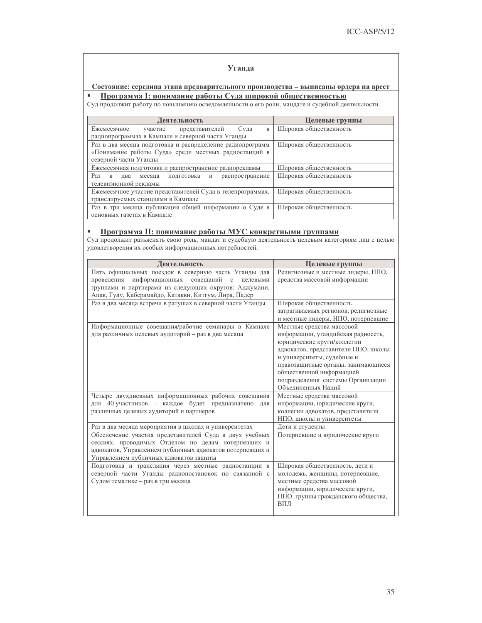### Уганда

Состояние: середина этапа предварительного производства - выписаны ордера на арест

Суд программа I: понимание работы Суда широкой общественностью Суд продолжит работу по повышению осведомленности о его роли, мандате и судебной деятельности.

| Деятельность                                                               | Целевые группы         |
|----------------------------------------------------------------------------|------------------------|
| Ежемесячное<br>представителей<br>Суда<br>$\mathbf B$<br>участие            | Широкая общественность |
| радиопрограммах в Кампале и северной части Уганды                          |                        |
| Раз в два месяца подготовка и распределение радиопрограмм                  | Широкая общественность |
| «Понимание работы Суда» среди местных радиостанций в                       |                        |
| северной части Уганды                                                      |                        |
| Ежемесячная подготовка и распространение радиорекламы                      | Широкая общественность |
| Раз<br>распространение<br>подготовка<br>$\mathbf{B}$<br>лва<br>месяца<br>И | Широкая общественность |
| телевизионной рекламы                                                      |                        |
| Ежемесячное участие представителей Суда в телепрограммах,                  | Широкая общественность |
| транслируемых станциями в Кампале                                          |                        |
| Раз в три месяца публикация общей информации о Суде в                      | Широкая общественность |
| основных газетах в Кампале                                                 |                        |

**• Программа II: понимание работы МУС конкретными группами** Суд продолжит разъяснять свою роль, мандат и судебную деятельность целевым категориям лиц с целью удовлетворения их особых информационных потребностей.

| Деятельность                                                     | Целевые группы                                          |
|------------------------------------------------------------------|---------------------------------------------------------|
| Пять официальных поездок в северную часть Уганды для             | Религиозные и местные лидеры, НПО,                      |
| информационных<br>совещаний<br>проведения<br>$\rm c$<br>целевыми | средства массовой информации                            |
| группами и партнерами из следующих округов: Аджумани,            |                                                         |
| Апак, Гулу, Каберамайдо, Катакви, Китгум, Лира, Падер            |                                                         |
| Раз в два месяца встречи в ратушах в северной части Уганды       | Широкая общественность                                  |
|                                                                  | затрагиваемых регионов, религиозные                     |
|                                                                  | и местные лидеры, НПО, потерпевшие                      |
| Информационные совещания/рабочие семинары в Кампале              | Местные средства массовой                               |
| для различных целевых аудиторий - раз в два месяца               | информации, угандийская радиосеть,                      |
|                                                                  | юридические круги/коллегии                              |
|                                                                  | адвокатов, представители НПО, школы                     |
|                                                                  | и университеты, судебные и                              |
|                                                                  | правозащитные органы, занимающиеся                      |
|                                                                  | общественной информацией                                |
|                                                                  | подразделения системы Организации<br>Объединенных Наций |
| Четыре двухдневных информационных рабочих совещания              | Местные средства массовой                               |
| 40 участников - каждое будет предназначено<br><b>RILL</b><br>ДЛЯ | информации, юридические круги,                          |
| различных целевых аудиторий и партнеров                          | коллегии адвокатов, представители                       |
|                                                                  | НПО, школы и университеты                               |
| Раз в два месяца мероприятия в школах и университетах            | Дети и студенты                                         |
| Обеспечение участия представителей Суда в двух учебных           | Потерпевшие и юридические круги                         |
| сессиях, проводимых Отделом по делам потерпевших и               |                                                         |
| адвокатов, Управлением публичных адвокатов потерпевших и         |                                                         |
| Управлением публичных адвокатов защиты                           |                                                         |
| Подготовка и трансляция через местные радиостанции в             | Широкая общественность, дети и                          |
| северной части Уганды радиопостановок по связанной с             | молодежь, женщины, потерпевшие,                         |
| Судом тематике - раз в три месяца                                | местные средства массовой                               |
|                                                                  | информации, юридические круги,                          |
|                                                                  | НПО, группы гражданского общества,                      |
|                                                                  | ВПЛ                                                     |
|                                                                  |                                                         |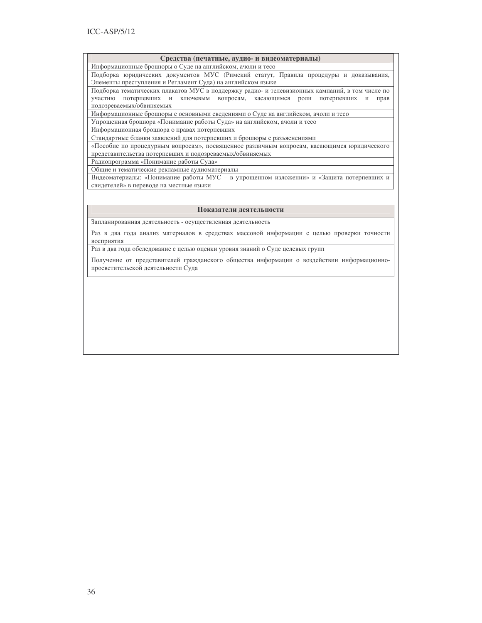#### Средства (печатные, аудио- и видеоматериалы)

Информационные брошюры о Суде на английском, ачоли и тесо

Подборка юридических документов МУС (Римский статут, Правила процедуры и доказывания, Элементы преступления и Регламент Суда) на английском языке

Подборка тематических плакатов МУС в поддержку радио- и телевизионных кампаний, в том числе по участию потерпевших и ключевым вопросам, касающимся роли потерпевших и прав подозреваемых/обвиняемых

Информационные брошюры с основными сведениями о Суде на английском, ачоли и тесо

Упрощенная брошюра «Понимание работы Суда» на английском, ачоли и тесо

Информационная брошюра о правах потерпевших

Стандартные бланки заявлений для потерпевших и брошюры с разъяснениями

«Пособие по процедурным вопросам», посвященное различным вопросам, касающимся юридического представительства потерпевших и подозреваемых/обвиняемых

Радиопрограмма «Понимание работы Суда»

Общие и тематические рекламные аудиоматериалы

Видеоматериалы: «Понимание работы МУС - в упрощенном изложении» и «Защита потерпевших и свидетелей» в переводе на местные языки

#### Показатели деятельности

Запланированная деятельность - осуществленная деятельность

Раз в два года анализ материалов в средствах массовой информации с целью проверки точности восприятия

Раз в два года обследование с целью оценки уровня знаний о Суде целевых групп

Получение от представителей гражданского общества информации о воздействии информационнопросветительской деятельности Суда